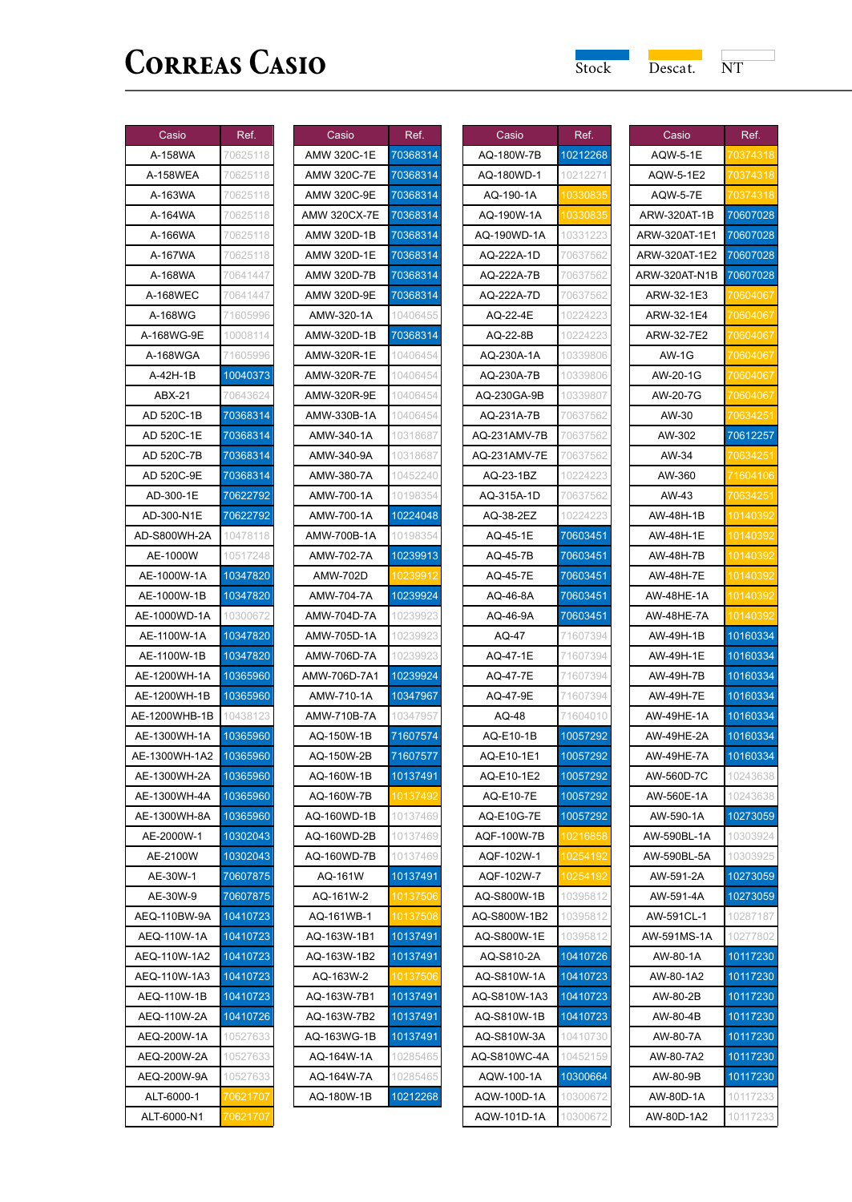| Casio         | Ref.     |
|---------------|----------|
| A-158WA       | 70625118 |
| A-158WEA      | 70625118 |
| A-163WA       | 70625118 |
| A-164WA       | 70625118 |
| A-166WA       | 70625118 |
| A-167WA       | 70625118 |
| A-168WA       | 70641447 |
| A-168WEC      | 70641447 |
| A-168WG       | 71605996 |
| A-168WG-9E    | 10008114 |
| A-168WGA      | 71605996 |
| A-42H-1B      | 10040373 |
| ABX-21        | 70643624 |
| AD 520C-1B    | 70368314 |
| AD 520C-1E    | 70368314 |
| AD 520C-7B    | 70368314 |
| AD 520C-9E    | 70368314 |
| AD-300-1E     | 70622792 |
| AD-300-N1E    | 70622792 |
| AD-S800WH-2A  | 10478118 |
| AE-1000W      | 10517248 |
| AE-1000W-1A   | 10347820 |
| AE-1000W-1B   | 10347820 |
| AE-1000WD-1A  | 10300672 |
| AE-1100W-1A   | 10347820 |
| AE-1100W-1B   | 10347820 |
| AE-1200WH-1A  | 10365960 |
| AE-1200WH-1B  | 10365960 |
| AE-1200WHB-1B | 10438123 |
| AE-1300WH-1A  | 10365960 |
| AE-1300WH-1A2 | 10365960 |
| AE-1300WH-2A  | 10365960 |
| AE-1300WH-4A  | 10365960 |
| AE-1300WH-8A  | 10365960 |
| AE-2000W-1    | 10302043 |
| AE-2100W      | 10302043 |
| AE-30W-1      | 70607875 |
| AE-30W-9      | 70607875 |
| AEQ-110BW-9A  | 10410723 |
| AEQ-110W-1A   | 10410723 |
| AEQ-110W-1A2  | 10410723 |
| AEQ-110W-1A3  | 10410723 |
| AEQ-110W-1B   | 10410723 |
| AEQ-110W-2A   | 10410726 |
| AEQ-200W-1A   | 10527633 |
| AEQ-200W-2A   | 10527633 |
| AEQ-200W-9A   | 10527633 |
| ALT-6000-1    | 70621707 |
| ALT-6000-N1   | 062      |

| Casio               | Ref.     |
|---------------------|----------|
| AMW 320C-1E         | 70368314 |
| AMW 320C-7E         | 70368314 |
| AMW 320C-9E         | 70368314 |
| <b>AMW 320CX-7E</b> | 70368314 |
| AMW 320D-1B         | 70368314 |
| AMW 320D-1E         | 70368314 |
| AMW 320D-7B         | 70368314 |
| AMW 320D-9E         | 70368314 |
| AMW-320-1A          | 10406455 |
| AMW-320D-1B         | 70368314 |
| AMW-320R-1E         | 10406454 |
| AMW-320R-7E         | 10406454 |
| AMW-320R-9E         | 10406454 |
| AMW-330B-1A         | 10406454 |
| AMW-340-1A          | 10318687 |
| AMW-340-9A          | 10318687 |
| AMW-380-7A          | 10452240 |
| AMW-700-1A          | 10198354 |
| AMW-700-1A          | 10224048 |
| AMW-700B-1A         | 10198354 |
| AMW-702-7A          | 10239913 |
| AMW-702D            | 1023991  |
| AMW-704-7A          | 10239924 |
| AMW-704D-7A         | 10239923 |
| AMW-705D-1A         | 10239923 |
| AMW-706D-7A         | 10239923 |
| AMW-706D-7A1        | 10239924 |
| AMW-710-1A          | 10347967 |
| AMW-710B-7A         | 10347957 |
| AQ-150W-1B          | 71607574 |
| AQ-150W-2B          | 71607577 |
| AQ-160W-1B          | 10137491 |
| AQ-160W-7B          | 10137492 |
| AQ-160WD-1B         | 10137469 |
| AQ-160WD-2B         | 10137469 |
| AQ-160WD-7B         | 10137469 |
| AQ-161W             | 10137491 |
| AQ-161W-2           | 10137506 |
| AQ-161WB-1          |          |
| AQ-163W-1B1         | 10137491 |
| AQ-163W-1B2         | 10137491 |
| AQ-163W-2           | 10137506 |
| AQ-163W-7B1         | 10137491 |
| AQ-163W-7B2         | 10137491 |
| AQ-163WG-1B         | 10137491 |
| AQ-164W-1A          | 10285465 |
| AQ-164W-7A          | 10285465 |
| AQ-180W-1B          | 10212268 |

| Casio        | Ref.     |
|--------------|----------|
| AQ-180W-7B   | 10212268 |
| AQ-180WD-1   | 10212271 |
| AQ-190-1A    | 10330835 |
| AQ-190W-1A   | 103308   |
| AQ-190WD-1A  | 10331223 |
| AQ-222A-1D   | 70637562 |
| AQ-222A-7B   | 70637562 |
| AQ-222A-7D   | 70637562 |
| AQ-22-4E     | 10224223 |
| AQ-22-8B     | 10224223 |
| AQ-230A-1A   | 10339806 |
| AQ-230A-7B   | 10339806 |
| AQ-230GA-9B  | 10339807 |
| AQ-231A-7B   | 70637562 |
| AQ-231AMV-7B | 70637562 |
| AQ-231AMV-7E | 70637562 |
| AQ-23-1BZ    | 10224223 |
| AQ-315A-1D   | 70637562 |
| AQ-38-2EZ    | 10224223 |
| AQ-45-1E     | 70603451 |
| AQ-45-7B     | 70603451 |
| AQ-45-7E     | 70603451 |
| AQ-46-8A     | 70603451 |
| AQ-46-9A     | 70603451 |
| AQ-47        | 71607394 |
| AQ-47-1E     | 71607394 |
| AQ-47-7E     | 71607394 |
| AQ-47-9E     | 71607394 |
| AQ-48        | 71604010 |
| AQ-E10-1B    | 10057292 |
| AQ-E10-1E1   | 10057292 |
| AQ-E10-1E2   | 10057292 |
| AQ-E10-7E    | 10057292 |
| AQ-E10G-7E   | 10057292 |
| AQF-100W-7B  | 10216858 |
| AQF-102W-1   | 10254192 |
| AQF-102W-7   | 10254192 |
| AQ-S800W-1B  | 10395812 |
| AQ-S800W-1B2 | 10395812 |
| AQ-S800W-1E  | 10395812 |
| AQ-S810-2A   | 10410726 |
| AQ-S810W-1A  | 10410723 |
| AQ-S810W-1A3 | 10410723 |
| AQ-S810W-1B  | 10410723 |
| AQ-S810W-3A  | 10410730 |
| AQ-S810WC-4A | 10452159 |
| AQW-100-1A   | 10300664 |
|              | 10300672 |
| AQW-100D-1A  |          |

| Casio            | Ref.             |
|------------------|------------------|
| <b>AQW-5-1E</b>  | 70374318         |
| AQW-5-1E2        |                  |
| <b>AQW-5-7E</b>  |                  |
| ARW-320AT-1B     | 70607028         |
| ARW-320AT-1E1    | 70607028         |
| ARW-320AT-1E2    | 70607028         |
| ARW-320AT-N1B    | 70607028         |
| ARW-32-1E3       | 70604067         |
| ARW-32-1E4       | '060406          |
| ARW-32-7E2       | Ό6               |
| AW-1G            |                  |
| AW-20-1G         | 70604            |
| AW-20-7G         | 0604             |
| AW-30            | $\overline{706}$ |
| AW-302           | 70612257         |
| AW-34            | 7063425          |
| AW-360           | 1604106          |
| AW-43            |                  |
| AW-48H-1B        | 101403           |
| AW-48H-1E        | 10140            |
| <b>AW-48H-7B</b> | 10140392         |
| AW-48H-7E        | 1014 <u>0</u>    |
| AW-48HE-1A       | 101403           |
| AW-48HE-7A       | 10140            |
| AW-49H-1B        | 10160334         |
| AW-49H-1E        | 10160334         |
| <b>AW-49H-7B</b> | 10160334         |
| AW-49H-7E        | 10160334         |
| AW-49HE-1A       | 10160334         |
| AW-49HE-2A       | 10160334         |
| AW-49HE-7A       | 10160334         |
| AW-560D-7C       | 10243638         |
| AW-560E-1A       | 10243638         |
| AW-590-1A        | 10273059         |
| AW-590BL-1A      | 10303924         |
| AW-590BL-5A      | 1030392          |
| AW-591-2A        | 10273059         |
| AW-591-<br>4A    | 10273059         |
| AW-591CL<br>-1   | 10287<br>187     |
| AW-591MS-1A      | 10277802         |
| AW-80-1A         | 10117230         |
| AW-80-1A2        | 10117230         |
| AW-80-2B         | 10117230         |
| AW-80-4B         | 10117230         |
| AW-80-7A         | 10117230         |
| AW-80-7A2        | 10117230         |
| AW-80-9B         | 10117230         |
| AW-80D-1A        | 10117233         |
| AW-80D-1A2       | 10117233         |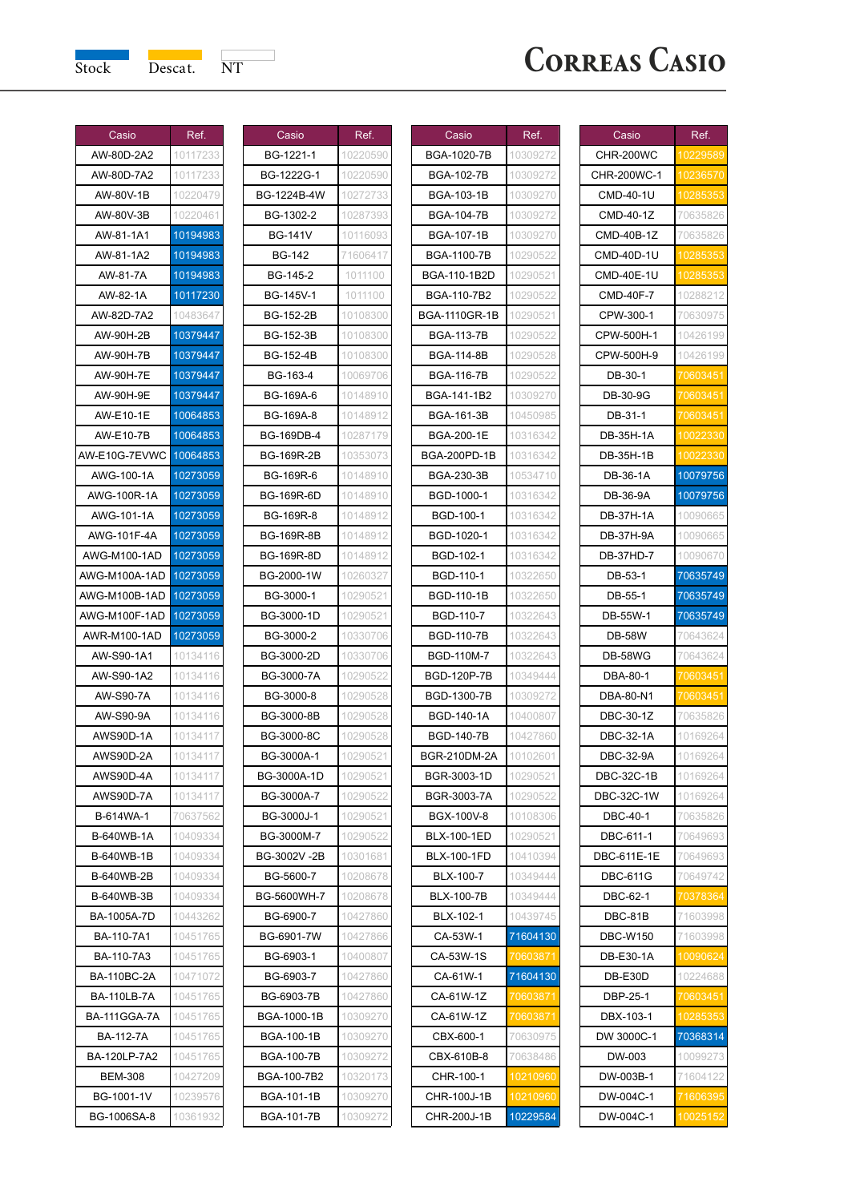| Casio                    | Ref.                 |
|--------------------------|----------------------|
| AW-80D-2A2<br>AW-80D-7A2 | 10117233<br>10117233 |
| AW-80V-1B                | 10220479             |
| AW-80V-3B                | 10220461             |
| AW-81-1A1                | 10194983             |
| AW-81-1A2                | 10194983             |
| AW-81-7A                 | 10194983             |
| AW-82-1A                 | 10117230             |
| AW-82D-7A2               | 10483647             |
| AW-90H-2B                | 10379447             |
| AW-90H-7B                | 10379447             |
| AW-90H-7E                | 10379447             |
| AW-90H-9E                | 10379447             |
|                          | 10064853             |
| AW-E10-1E<br>AW-E10-7B   | 10064853             |
| AW-E10G-7EVW0            |                      |
| AWG-100-1A               | 10064853<br>10273059 |
| AWG-100R-1A              | 10273059             |
| AWG-101-1A               | 10273059             |
| AWG-101F-4A              | 10273059             |
| AWG-M100-1AD             | 10273059             |
| VG-M100A-1AD             | 10273059             |
| /G-M100B-1AI             | 10273059             |
| NG-M100F-1AD             | 10273059             |
| AWR-M100-1AD             | 10273059             |
| AW-S90-1A1               | 10134116             |
| AW-S90-1A2               | 10134116             |
| <b>AW-S90-7A</b>         | 10134116             |
| AW-S90-9A                | 10134116             |
| AWS90D-1A                | 10134117             |
| AWS90D-2A                | 1013411<br>7         |
| AWS90D-4A                | 10134<br>1<br>1      |
| AWS90D-7A                | 10134<br>1<br>1      |
| B-614WA-1                | 70637562             |
| B-640WB-1A               | 1040933              |
| B-640WB-1B               | 10409334             |
| -640WB-2B                | 1040933              |
| <b>B-640WB-3B</b>        | 10409334             |
| BA-1005A-7D              | 104432               |
| BA-110-7A1               | 10451765             |
| BA-110-7A3               | 10451765             |
| <b>BA-110BC-2A</b>       | 10471072             |
| <b>BA-110LB-7A</b>       | 10451765             |
| <b>BA-111GGA-7A</b>      | 10451765             |
| BA-112-7A                | 10451765             |
| BA-120LP-7A2             | 10451765             |
| <b>BEM-308</b>           | 10427209             |
| BG-1001-1V               | 10239576             |
| BG-1006SA-8              | 10361932             |

| Casio             | Ref.     |
|-------------------|----------|
| BG-1221-1         | 10220590 |
| BG-1222G-1        | 10220590 |
| BG-1224B-4W       | 10272733 |
| BG-1302-2         | 10287393 |
| <b>BG-141V</b>    | 10116093 |
| <b>BG-142</b>     | 71606417 |
| BG-145-2          | 1011100  |
| BG-145V-1         | 1011100  |
| <b>BG-152-2B</b>  | 10108300 |
| <b>BG-152-3B</b>  | 10108300 |
| BG-152-4B         | 10108300 |
| BG-163-4          | 10069706 |
| BG-169A-6         | 10148910 |
| BG-169A-8         | 10148912 |
| BG-169DB-4        | 10287179 |
| <b>BG-169R-2B</b> | 10353073 |
| BG-169R-6         | 10148910 |
| <b>BG-169R-6D</b> | 10148910 |
| BG-169R-8         | 10148912 |
| <b>BG-169R-8B</b> | 10148912 |
| <b>BG-169R-8D</b> | 10148912 |
| BG-2000-1W        | 10260327 |
| BG-3000-1         | 10290521 |
| BG-3000-1D        | 10290521 |
| BG-3000-2         | 10330706 |
| BG-3000-2D        | 10330706 |
| BG-3000-7A        | 10290522 |
| BG-3000-8         | 10290528 |
| BG-3000-8B        | 10290528 |
| BG-3000-8C        | 10290528 |
| BG-3000A-1        | 10290521 |
| BG-3000A-1D       | 10290521 |
| BG-3000A-7        | 10290522 |
| BG-3000J-1        | 10290521 |
| BG-3000M-7        | 10290522 |
| BG-3002V-2B       | 10301681 |
| BG-5600-7         | 10208678 |
| BG-5600WH-7       | 10208678 |
| RC<br>6900<br>7   |          |
| BG-6901-7W        | 10427866 |
| BG-6903-1         | 10400807 |
| BG-6903-7         | 10427860 |
| BG-6903-7B        | 10427860 |
| BGA-1000-1B       | 10309270 |
| <b>BGA-100-1B</b> | 10309270 |
| <b>BGA-100-7B</b> | 10309272 |
| BGA-100-7B2       | 10320173 |
| BGA-101-1B        | 10309270 |
| <b>BGA-101-7B</b> | 10309272 |
|                   |          |

| Casio               | Ref.                         |
|---------------------|------------------------------|
| BGA-1020-7B         | 10309272                     |
| BGA-102-7B          | 10309272                     |
| BGA-103-1B          | 10309270                     |
| <b>BGA-104-7B</b>   | 10309272                     |
| BGA-107-1B          | 10309270                     |
| BGA-1100-7B         | 10290522                     |
| BGA-110-1B2D        | 10290521                     |
| <b>BGA-110-7B2</b>  | 10290522                     |
| BGA-1110GR-1B       | 10290521                     |
| <b>BGA-113-7B</b>   | 10290522                     |
| BGA-114-8B          | 10290528                     |
| BGA-116-7B          | 10290522                     |
| BGA-141-1B2         | 10309270                     |
| BGA-161-3B          | 10450985                     |
| BGA-200-1E          | 10316342                     |
| <b>BGA-200PD-1B</b> | 10316342                     |
| <b>BGA-230-3B</b>   | 10534710                     |
| BGD-1000-1          | 10316342                     |
| BGD-100-1           | 10316342                     |
| BGD-1020-1          | 10316342                     |
| BGD-102-1           | 10316342                     |
| BGD-110-1           | 10322650                     |
| BGD-110-1B          | 10322650                     |
| BGD-110-7           | 10322643                     |
| BGD-110-7B          | 10322643                     |
| <b>BGD-110M-7</b>   | 1032264                      |
| <b>BGD-120P-7B</b>  | 10349444                     |
| BGD-1300-7B         | 10309272                     |
| <b>BGD-140-1A</b>   | 10400807                     |
| <b>BGD-140-7B</b>   | 10427860                     |
| BGR-210DM-2A        | 10102601                     |
| BGR-3003-1D         | 10290521                     |
| BGR-3003-7A         | 10290522                     |
| BGX-100V-8          | 10108306                     |
| BLX-100-1ED         | 10290521                     |
| <b>BLX-100-1FD</b>  | 10410394                     |
| BLX-100-7           | 1034944                      |
| <b>BLX-100-7B</b>   | 10349444                     |
| BLX-102-1           | 10439745                     |
| CA-53W-1            | 71604130                     |
| CA-53W-1S           | 70603871                     |
| CA-61W-1            | 71604130                     |
| CA-61W-1Z           | <u>70</u> 603871             |
| CA-61W-1Z           |                              |
| CBX-600-1           | $\overline{060}$<br>70630975 |
| CBX-610B-8          | 70638486                     |
| CHR-100-1           | 10210960                     |
|                     |                              |
| CHR-100J-1B         | 960<br>10229584              |
| CHR-200J-1B         |                              |

| Casio             | Ref.                   |
|-------------------|------------------------|
| CHR-200WC         | 10229589               |
| CHR-200WC-1       | 10236570               |
| CMD-40-1U         |                        |
| CMD-40-1Z         | 70635826               |
| CMD-40B-1Z        | 70635826               |
| CMD-40D-1U        | 10285353               |
| CMD-40E-1U        | 10285                  |
| <b>CMD-40F-7</b>  | 10288212               |
| CPW-300-1         | 70630975               |
| CPW-500H-1        | 10426199               |
| CPW-500H-9        | 10426199               |
| DB-30-1           | 70603451               |
| DB-30-9G          | 70603451               |
| DB-31-1           | 060345                 |
| DB-35H-1A         | 10022330               |
| DB-35H-1B         | 100                    |
| DB-36-1A          | 10079756               |
| DB-36-9A          | 10079756               |
| <b>DB-37H-1A</b>  | 10090665               |
| DB-37H-9A         | 10090665               |
| <b>DB-37HD-7</b>  | 10090670               |
| DB-53-1           | 70635749               |
| DB-55-1           | 70635749               |
| DB-55W-1          | 70635749               |
| DB-58W            | 70643624               |
| <b>DB-58WG</b>    | 70643624               |
| DBA-80-1          | 70603451               |
| DBA-80-N1         | 060345                 |
| <b>DBC-30-1Z</b>  | 70635826               |
| <b>DBC-32-1A</b>  | 10169264               |
| DBC-32-9A         | 10169264               |
| <b>DBC-32C-1B</b> | 10169264               |
| <b>DBC-32C-1W</b> | 10169264               |
| <b>DBC-40-1</b>   | 70635826               |
| DBC-611-1         | 70649693               |
| DBC-611E-1E       | 70649693               |
| <b>DBC-611G</b>   | 70649742               |
| DBC-62-1          | 70378364               |
| DBC-81B           | 71603998               |
| <b>DBC-W150</b>   | 71603998               |
| DB-E30-1A         | 10090624               |
| DB-E30D           | 10224688               |
| DBP-25-1          | <mark>70</mark> 603451 |
| DBX-103-1         |                        |
| DW 3000C-1        | 70368314               |
| DW-003            | 10099273               |
| DW-003B-1         | 71604122               |
| DW-004C-1         | 71606395               |
| DW-004C-1         | 10025152               |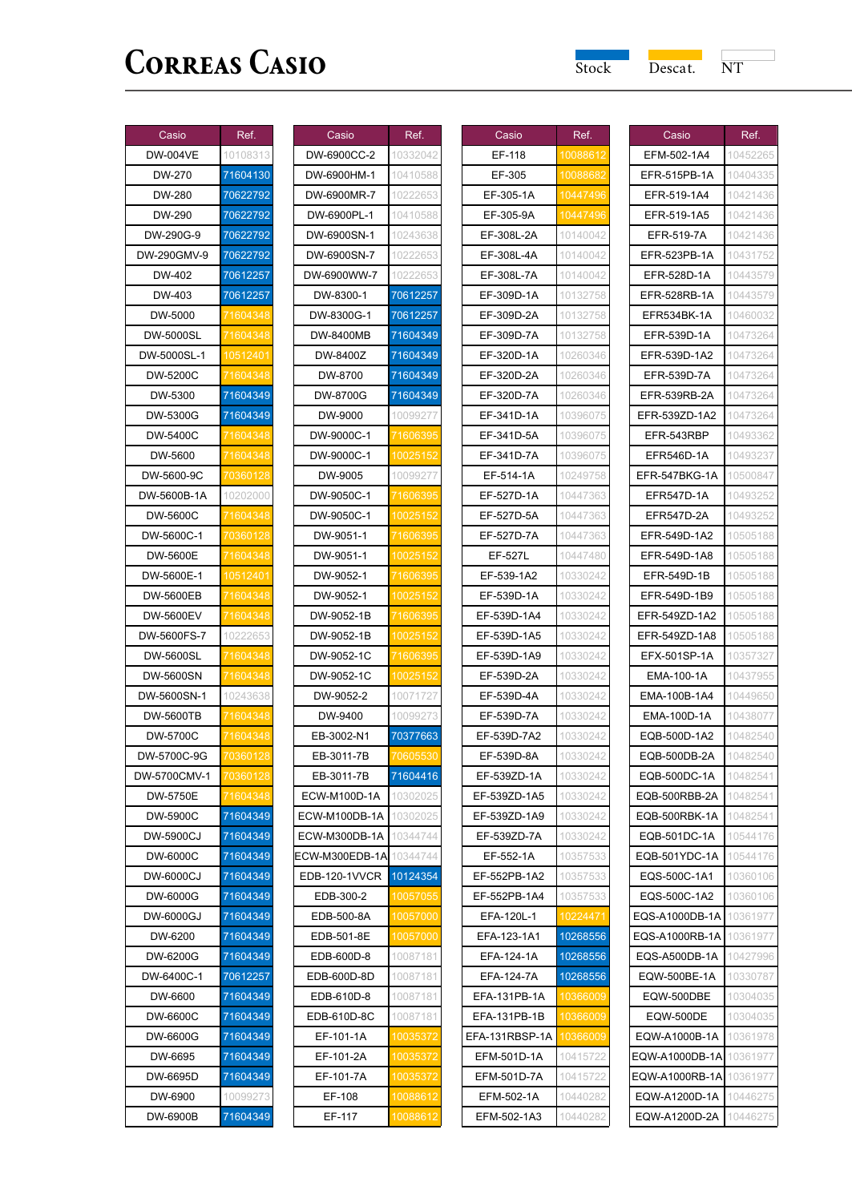| Casio        | Ref.     |
|--------------|----------|
| DW-004VE     | 10108313 |
| DW-270       | 71604130 |
| DW-280       | 70622792 |
| DW-290       | 70622792 |
| DW-290G-9    | 70622792 |
| DW-290GMV-9  | 70622792 |
| DW-402       | 70612257 |
| DW-403       | 70612257 |
| DW-5000      | 71604348 |
| DW-5000SL    | 1604348  |
| DW-5000SL-1  | 0512401  |
| DW-5200C     |          |
| DW-5300      | 71604349 |
| DW-5300G     | 71604349 |
| DW-5400C     | 71604348 |
| DW-5600      | 1604348  |
| DW-5600-9C   | 86012    |
| DW-5600B-1A  | 10202000 |
| DW-5600C     | 71604348 |
| DW-5600C-1   | 0360128  |
| DW-5600E     | 1604348  |
| DW-5600E-1   | 0512401  |
| DW-5600EB    | 1604348  |
| DW-5600EV    | 1604     |
| DW-5600FS-7  | 10222653 |
| DW-5600SL    | 71604348 |
| DW-5600SN    | 1604348  |
| DW-5600SN-1  | 10243638 |
| DW-5600TB    | 16043    |
| DW-5700C     | 1604348  |
| DW-5700C-9G  | 03601:   |
| DW-5700CMV-1 | 70360128 |
| DW-5750E     |          |
| DW-5900C     | 71604349 |
| DW-5900CJ    | 71604349 |
| DW-6000C     | 71604349 |
| DW-6000CJ    | 71604349 |
| DW-6000G     | 71604349 |
| DW-6000GJ    | 71604349 |
| DW-6200      | 71604349 |
| DW-6200G     | 71604349 |
| DW-6400C-1   | 70612257 |
| DW-6600      | 71604349 |
| DW-6600C     | 71604349 |
| DW-6600G     | 71604349 |
| DW-6695      | 71604349 |
| DW-6695D     | 71604349 |
| DW-6900      | 10099273 |
| DW-6900B     | 71604349 |

| Casio            | Ref.             |
|------------------|------------------|
| DW-6900CC-2      | 10332042         |
| DW-6900HM-1      | 10410588         |
| DW-6900MR-7      | 10222653         |
| DW-6900PL-1      | 10410588         |
| DW-6900SN-1      | 10243638         |
| DW-6900SN-7      | 10222653         |
| DW-6900WW-7      | 10222653         |
| DW-8300-1        | 70612257         |
| DW-8300G-1       | 70612257         |
| DW-8400MB        | 71604349         |
| DW-8400Z         | 71604349         |
| DW-8700          | 71604349         |
| DW-8700G         | 71604349         |
| DW-9000          | 10099277         |
| DW-9000C-1       | 71606395         |
| DW-9000C-1       | 1002515          |
| DW-9005          | 10099277         |
| DW-9050C-1       | 1606395'         |
| DW-9050C-1       | <u>1002</u>      |
| DW-9051-<br>٠1   | <u>1606395</u>   |
| DW-9051-1        | 0025             |
| DW-9052-1        | 71606395         |
| DW-9052-1        | 100251           |
| DW-9052-1B       | 71606395         |
| DW-9052-1B       | 10025            |
| DW-9052-1C       | 1606             |
| DW-9052-1C       | 1002515          |
| DW-9052-2        | 10071727         |
| DW-9400          | 10099273         |
| EB-3002-N1       | 70377663         |
| EB-3011-7B       | 70605530         |
| EB-3011-7B       | 71604416         |
| ECW-M100D-1A     | 10302025         |
| ECW-M100DB-1A    | 10302025         |
| ECW-M300DB-1A    | 10344744         |
| ECW-M300EDB-1A   | 10344744         |
| EDB-120-1VVCR    | 10124354         |
| EDB-300-2        | 10057055         |
| EDB-500-8A       | 10057000         |
| EDB-501-8E       | 10057000         |
| EDB-600D-8       | 10087181         |
| EDB-600D-8D      | 10087181         |
| EDB-610D-8       | 10087181         |
| EDB-610D-8C      | 10087181         |
| EF-101-1A        | 10035372         |
| EF-101-2A        | 10035<br>1003537 |
| EF-101-7A        |                  |
| EF-108<br>EF-117 | 1008861          |
|                  | 10088612         |

| Casio                 | Ref.     |
|-----------------------|----------|
| EF-118                | 10088612 |
| EF-305                | 1008868  |
| EF-305-1A             | 104      |
| EF-305-9A             |          |
| EF-308L-2A            | 10140042 |
| EF-308L-4A            | 10140042 |
| EF-308L-7A            | 10140042 |
| EF-309D-1A            | 10132758 |
| EF-309D-2A            | 10132758 |
| EF-309D-7A            | 10132758 |
| EF-320D-1A            | 10260346 |
| EF-320D-2A            | 10260346 |
| EF-320D-7A            | 10260346 |
| EF-341D-1A            | 10396075 |
| EF-341D-5A            | 10396075 |
| EF-341D-7A            | 10396075 |
| EF-514-1A             | 10249758 |
| EF-527D-1A            | 10447363 |
| EF-527D-5A            | 10447363 |
| EF-527D-7A            | 10447363 |
| EF-527L               | 10447480 |
| EF-539-1A2            | 10330242 |
| EF-539D-1A            | 10330242 |
| EF-539D-1A4           | 10330242 |
| EF-539D-1A5           | 10330242 |
| EF-539D-1A9           | 10330242 |
| EF-539D-2A            | 10330242 |
| EF-539D-4A            | 10330242 |
| EF-539D-7A            | 10330242 |
| EF-539D-7A2           | 10330242 |
| EF-539D-8A            | 10330242 |
| EF-539ZD-1A           | 10330242 |
| EF-539ZD-1A5          | 10330242 |
| EF-539ZD-1A9          | 10330242 |
| EF-539ZD-7A           | 10330242 |
| EF-552-1A             | 10357533 |
| EF-552PB-1A2          | 10357533 |
| EF-552PB-1A4          | 10357533 |
| ᅪ<br>٠1               |          |
| A-120L<br>EFA-123-1A1 | 10268556 |
| EFA-124-1A            | 10268556 |
| EFA-124-7A            | 10268556 |
| EFA-131PB-1A          | 10366009 |
|                       |          |
| EFA-131PB-1B          | 10366009 |
| EFA-131RBSP-1A        | 10366009 |
| EFM-501D-1A           | 10415722 |
| EFM-501D-7A           | 10415722 |
| EFM-502-1A            | 10440282 |
| EFM-502-1A3           | 10440282 |

| Casio                           | Ref.                 |
|---------------------------------|----------------------|
| EFM-502-1A4                     | 10452265             |
| EFR-515PB-1A                    | 10404335             |
| EFR-519-1A4                     | 10421436             |
| EFR-519-1A5                     | 10421436             |
| EFR-519-7A                      | 10421436             |
| EFR-523PB-1A                    | 10431752             |
| EFR-528D-1A                     | 10443579             |
| EFR-528RB-1A                    | 10443579             |
| EFR534BK-1A                     | 10460032             |
| EFR-539D-1A                     | 10473264             |
| EFR-539D-1A2                    | 10473264             |
| EFR-539D-7A                     | 10473264             |
| EFR-539RB-2A                    | 10473264             |
| EFR-539ZD-1A2                   | 10473264             |
| EFR-543RBP                      | 10493362             |
| EFR546D-1A                      | 10493237             |
| EFR-547BKG-1A                   | 10500847             |
| EFR547D-1A                      | 1049325              |
| <b>EFR547D-2A</b>               | 10493252             |
| EFR-549D-1A2                    | 10505188             |
| EFR-549D-1A8                    | 10505188             |
| EFR-549D-1B                     | 10505188             |
| EFR-549D-1B9                    | 10505188             |
| EFR-549ZD-1A2                   | 10505188             |
| EFR-549ZD-1A8                   | 10505188             |
| EFX-501SP-1A                    | 10357327             |
| EMA-100-1A                      | 10437955             |
| EMA-100B-1A4                    | 10449650             |
| EMA-100D-1A                     | 10438077             |
| EQB-500D-1A2                    | 10482540             |
| EQB-500DB-2A                    | 10482540             |
| EQB-500DC-1A                    | 10482541             |
| EQB-500RBB-2A                   | 10482541             |
| EQB-500RBK-1A                   | 10482541             |
| EQB-501DC-1A                    | 10544176             |
| EQB-501YDC-1A                   | 10544176             |
| EQS-500C-1A1                    | 10360106             |
| EQS-500C-1A2                    | 10360106             |
| EQS-A1000DB-1A                  | 10361977             |
| EQS-A1000RB-1A                  | 10361977             |
| EQS-A500DB-1A                   | 10427996             |
| EQW-500BE-1A<br>EQW-500DBE      | 10330787<br>10304035 |
|                                 |                      |
| EQW-500DE                       | 10304035<br>10361978 |
| EQW-A1000B-1A<br>EQW-A1000DB-1A | 10361977             |
| EQW-A1000RB-1A                  | 10361977             |
| EQW-A1200D-1A                   | 10446275             |
| EQW-A1200D-2A                   |                      |
|                                 | 10446275             |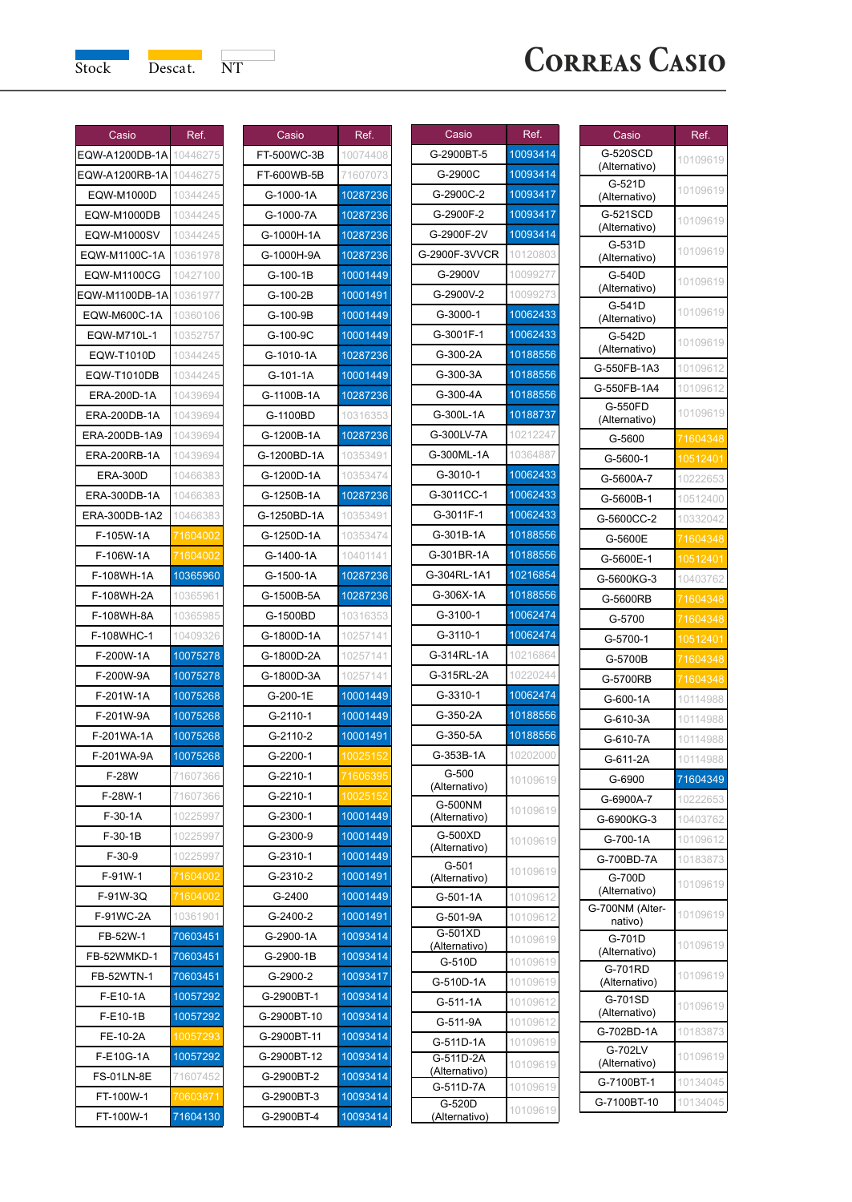

| Casio             | Ref.     |
|-------------------|----------|
| EQW-A1200DB-1A    | 10446275 |
| EQW-A1200RB-1A    | 10446275 |
| EQW-M1000D        | 10344245 |
| EQW-M1000DB       | 10344245 |
| EQW-M1000SV       | 10344245 |
| EQW-M1100C-1A     | 10361978 |
| EQW-M1100CG       | 10427100 |
| EQW-M1100DB-1A    | 10361977 |
| EQW-M600C-1A      | 10360106 |
| EQW-M710L-1       | 10352757 |
| EQW-T1010D        | 10344245 |
| EQW-T1010DB       | 10344245 |
| ERA-200D-1A       | 10439694 |
| ERA-200DB-1A      | 10439694 |
| ERA-200DB-1A9     | 10439694 |
| ERA-200RB-1A      | 10439694 |
| <b>ERA-300D</b>   | 10466383 |
| ERA-300DB-1A      | 10466383 |
| ERA-300DB-1A2     | 10466383 |
| F-105W-1A         | 71604002 |
| F-106W-1A         | 71604002 |
| F-108WH-1A        | 10365960 |
| F-108WH-2A        | 10365961 |
| F-108WH-8A        | 10365985 |
| F-108WHC-1        | 10409326 |
| F-200W-1A         | 10075278 |
| F-200W-9A         | 10075278 |
| F-201W-1A         | 10075268 |
| F-201W-9A         | 10075268 |
| F-201WA-1A        | 10075268 |
| F-201WA-9A        | 10075268 |
| F-28W             | 71607366 |
| F-28W-1           | 71607366 |
| $F-30-1A$         | 10225997 |
| F-30-1B           | 10225997 |
| $F-30-9$          | 10225997 |
| F-91W-1           | 71604002 |
| F-91W-3Q          | 160400   |
| F-91WC-2A         | 1901     |
| FB-52W-1          | 70603451 |
| FB-52WMKD-1       | 70603451 |
| FB-52WTN-1        | 70603451 |
| F-E10-1A          | 10057292 |
| F-E10-1B          | 10057292 |
| FE-10-2A          | 100      |
| F-E10G-1A         | 10057292 |
| <b>FS-01LN-8E</b> | 71607452 |
| FT-100W-1         | 70603871 |
| FT-100W-1         | 71604130 |
|                   |          |

| Casio       | Ref.     |
|-------------|----------|
| FT-500WC-3B | 10074408 |
| FT-600WB-5B | 71607073 |
| G-1000-1A   | 10287236 |
| G-1000-7A   | 10287236 |
| G-1000H-1A  | 10287236 |
| G-1000H-9A  | 10287236 |
| G-100-1B    | 10001449 |
| G-100-2B    | 10001491 |
| G-100-9B    | 10001449 |
| G-100-9C    | 10001449 |
| G-1010-1A   | 10287236 |
| G-101-1A    | 10001449 |
| G-1100B-1A  | 10287236 |
| G-1100BD    | 10316353 |
| G-1200B-1A  | 10287236 |
| G-1200BD-1A | 10353491 |
| G-1200D-1A  | 10353474 |
| G-1250B-1A  | 10287236 |
| G-1250BD-1A | 10353491 |
| G-1250D-1A  | 10353474 |
| G-1400-1A   | 10401141 |
| G-1500-1A   | 10287236 |
| G-1500B-5A  | 10287236 |
| G-1500BD    | 10316353 |
| G-1800D-1A  | 10257141 |
| G-1800D-2A  | 10257141 |
| G-1800D-3A  | 10257141 |
| G-200-1E    | 10001449 |
| G-2110-1    | 10001449 |
| G-2110-2    | 10001491 |
| G-2200-1    | 10025152 |
| G-2210-1    | 160639   |
| G-2210-1    | 100:     |
| G-2300-1    | 10001449 |
| G-2300-9    | 10001449 |
| G-2310-1    | 10001449 |
| G-2310-2    | 10001491 |
| G-2400      | 10001449 |
| G-2400-2    | 10001491 |
| G-2900-1A   | 10093414 |
| G-2900-1B   | 10093414 |
| G-2900-2    | 10093417 |
| G-2900BT-1  | 10093414 |
| G-2900BT-10 | 10093414 |
| G-2900BT-11 | 10093414 |
| G-2900BT-12 | 10093414 |
| G-2900BT-2  | 10093414 |
| G-2900BT-3  | 10093414 |
| G-2900BT-4  | 10093414 |

| Casio                    | Ref.     |
|--------------------------|----------|
| G-2900BT-5               | 10093414 |
| G-2900C                  | 10093414 |
| G-2900C-2                | 10093417 |
| G-2900F-2                |          |
|                          | 10093417 |
| G-2900F-2V               | 10093414 |
| G-2900F-3VVCR            | 10120803 |
| G-2900V                  | 10099277 |
| G-2900V-2                | 10099273 |
| G-3000-1                 | 10062433 |
| G-3001F-1                | 10062433 |
| G-300-2A                 | 10188556 |
| G-300-3A                 | 10188556 |
| G-300-4A                 | 10188556 |
| G-300L-1A                | 10188737 |
| G-300LV-7A               | 10212247 |
| G-300ML-1A               | 10364887 |
| G-3010-1                 | 10062433 |
| G-3011CC-1               | 10062433 |
| G-3011F-1                | 10062433 |
| G-301B-1A                | 10188556 |
| G-301BR-1A               | 10188556 |
| G-304RL-1A1              | 10216854 |
| G-306X-1A                | 10188556 |
| G-3100-1                 | 10062474 |
| G-3110-1                 | 10062474 |
| G-314RL-1A               | 10216864 |
| G-315RL-2A               | 10220244 |
| G-3310-1                 | 10062474 |
| G-350-2A                 | 10188556 |
| G-350-5A                 | 10188556 |
| G-353B-1A                | 10202000 |
| G-500<br>(Alternativo)   | 10109619 |
| G-500NM                  |          |
| (Alternativo)            | 10109619 |
| G-500XD<br>(Alternativo) | 10109619 |
| G-501                    |          |
| (Alternativo)            | 10109619 |
| G-501-1A                 | 10109612 |
| G-501-9A                 | 1010961  |
| G-501XD<br>(Alternativo) | 10109619 |
| G-510D                   | 10109619 |
| G-510D-1A                | 10109619 |
| G-511-1A                 | 10109612 |
| G-511-9A                 | 10109612 |
| G-511D-1A                | 10109619 |
| G-511D-2A                | 10109619 |
| (Alternativo)            |          |
| G-511D-7A<br>G-520D      | 10109619 |
| (Alternativo)            | 10109619 |

| Casio                      | Ref.                 |
|----------------------------|----------------------|
| G-520SCD                   | 10109619             |
| (Alternativo)              |                      |
| G-521D<br>(Alternativo)    | 10109619             |
| G-521SCD<br>(Alternativo)  | 10109619             |
| G-531D                     |                      |
| (Alternativo)              | 10109619             |
| G-540D<br>(Alternativo)    | 10109619             |
| G-541D                     | 10109619             |
| (Alternativo)<br>G-542D    |                      |
| (Alternativo)              | 10109619             |
| G-550FB-1A3                | 10109612             |
| G-550FB-1A4                | 10109612             |
| G-550FD<br>(Alternativo)   | 10109619             |
| G-5600                     | 71604348             |
| G-5600-1                   | 10512401             |
| G-5600A-7                  | 10222653             |
| G-5600B-1                  | 10512400             |
| G-5600CC-2                 | 10332042             |
| G-5600E                    | 71604348             |
| G-5600E-1                  | 10512401             |
| G-5600KG-3                 | 10403762             |
| G-5600RB                   | 71604348             |
| G-5700                     | 1604348              |
| G-5700-1                   | 10512401             |
| G-5700B                    | 71604348             |
| G-5700RB                   | 1604348              |
| G-600-1A                   | 10114988             |
| G-610-3A                   | 10114988             |
| G-610-7A                   | 10114988             |
| G-611-2A                   | 10114988             |
| G-6900                     | 71604349             |
| G-6900A-7                  | 10222653             |
| G-6900KG-3                 | 10403762             |
| G-700-1A<br>G-700BD-7A     | 10109612<br>10183873 |
| G-700D                     | 10109619             |
| (Alternativo)              |                      |
| G-700NM (Alter-<br>nativo) | 10109619             |
| G-701D<br>(Alternativo)    | 10109619             |
| G-701RD<br>(Alternativo)   | 10109619             |
| G-701SD<br>(Alternativo)   | 10109619             |
| G-702BD-1A                 | 10183873             |
| G-702LV<br>(Alternativo)   | 10109619             |
| G-7100BT-1                 | 10134045             |
| G-7100BT-10                | 10134045             |
|                            |                      |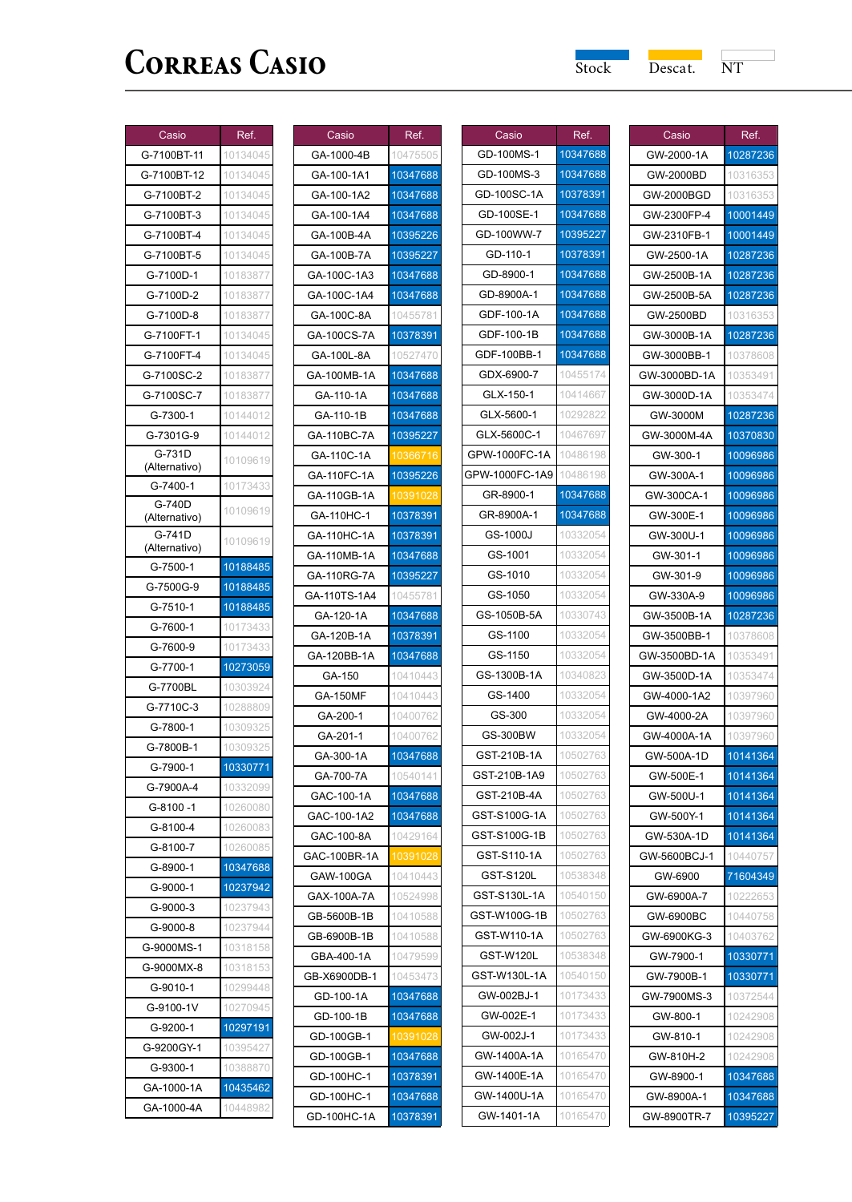$\overline{\phantom{a}}$ 

| Casio<br>Ref.<br>G-7100BT-11<br>10134045<br>10134045<br>G-7100BT-12<br>10134045<br>G-7100BT-2<br>G-7100BT-3<br>10134045<br>G-7100BT-4<br>10134045<br>G-7100BT-5<br>10134045<br>G-7100D-1<br>10183877<br>G-7100D-2<br>10183877<br>G-7100D-8<br>10183877<br>G-7100FT-1<br>10134045<br>G-7100FT-4<br>10134045<br>G-7100SC-2<br>10183877<br>G-7100SC-7<br>10183877<br>G-7300-1<br>10144012<br>G-7301G-9<br>10144012<br>G-731D<br>10109619<br>(Alternativo)<br>G-7400-1<br>10173433<br>G-740D<br>10109619<br>(Alternativo)<br>G-741D<br>10109619<br>(Alternativo)<br>G-7500-1<br>10188485<br>G-7500G-9<br>10188485<br>G-7510-1<br>10188485<br>G-7600-1<br>10173433<br>10173433<br>G-7600-9<br>10273059<br>G-7700-1<br>10303924<br>G-7700BL<br>G-7710C-3<br>10288809<br>G-7800-1<br>10309325<br>10309325<br>G-7800B-1<br>G-7900-1<br>10330771<br>G-7900A-4<br>10332099<br>G-8100 -1<br>10260080<br>G-8100-4<br>10260083<br>10260085<br>G-8100-7<br>10347688<br>G-8900-1<br>G-9000-1<br>10237942<br>G-9000-3<br>10237943<br>G-9000-8<br>10237944<br>G-9000MS-1<br>10318158<br>10318153<br>G-9000MX-8<br>G-9010-1<br>10299448<br>10270945<br>G-9100-1V<br>10297191<br>G-9200-1<br>G-9200GY-1<br>10395427<br>G-9300-1<br>10388870<br>10435462<br>GA-1000-1A<br>GA-1000-4A<br>10448982 |  |
|------------------------------------------------------------------------------------------------------------------------------------------------------------------------------------------------------------------------------------------------------------------------------------------------------------------------------------------------------------------------------------------------------------------------------------------------------------------------------------------------------------------------------------------------------------------------------------------------------------------------------------------------------------------------------------------------------------------------------------------------------------------------------------------------------------------------------------------------------------------------------------------------------------------------------------------------------------------------------------------------------------------------------------------------------------------------------------------------------------------------------------------------------------------------------------------------------------------------------------------------------------------------------|--|
|                                                                                                                                                                                                                                                                                                                                                                                                                                                                                                                                                                                                                                                                                                                                                                                                                                                                                                                                                                                                                                                                                                                                                                                                                                                                              |  |
|                                                                                                                                                                                                                                                                                                                                                                                                                                                                                                                                                                                                                                                                                                                                                                                                                                                                                                                                                                                                                                                                                                                                                                                                                                                                              |  |
|                                                                                                                                                                                                                                                                                                                                                                                                                                                                                                                                                                                                                                                                                                                                                                                                                                                                                                                                                                                                                                                                                                                                                                                                                                                                              |  |
|                                                                                                                                                                                                                                                                                                                                                                                                                                                                                                                                                                                                                                                                                                                                                                                                                                                                                                                                                                                                                                                                                                                                                                                                                                                                              |  |
|                                                                                                                                                                                                                                                                                                                                                                                                                                                                                                                                                                                                                                                                                                                                                                                                                                                                                                                                                                                                                                                                                                                                                                                                                                                                              |  |
|                                                                                                                                                                                                                                                                                                                                                                                                                                                                                                                                                                                                                                                                                                                                                                                                                                                                                                                                                                                                                                                                                                                                                                                                                                                                              |  |
|                                                                                                                                                                                                                                                                                                                                                                                                                                                                                                                                                                                                                                                                                                                                                                                                                                                                                                                                                                                                                                                                                                                                                                                                                                                                              |  |
|                                                                                                                                                                                                                                                                                                                                                                                                                                                                                                                                                                                                                                                                                                                                                                                                                                                                                                                                                                                                                                                                                                                                                                                                                                                                              |  |
|                                                                                                                                                                                                                                                                                                                                                                                                                                                                                                                                                                                                                                                                                                                                                                                                                                                                                                                                                                                                                                                                                                                                                                                                                                                                              |  |
|                                                                                                                                                                                                                                                                                                                                                                                                                                                                                                                                                                                                                                                                                                                                                                                                                                                                                                                                                                                                                                                                                                                                                                                                                                                                              |  |
|                                                                                                                                                                                                                                                                                                                                                                                                                                                                                                                                                                                                                                                                                                                                                                                                                                                                                                                                                                                                                                                                                                                                                                                                                                                                              |  |
|                                                                                                                                                                                                                                                                                                                                                                                                                                                                                                                                                                                                                                                                                                                                                                                                                                                                                                                                                                                                                                                                                                                                                                                                                                                                              |  |
|                                                                                                                                                                                                                                                                                                                                                                                                                                                                                                                                                                                                                                                                                                                                                                                                                                                                                                                                                                                                                                                                                                                                                                                                                                                                              |  |
|                                                                                                                                                                                                                                                                                                                                                                                                                                                                                                                                                                                                                                                                                                                                                                                                                                                                                                                                                                                                                                                                                                                                                                                                                                                                              |  |
|                                                                                                                                                                                                                                                                                                                                                                                                                                                                                                                                                                                                                                                                                                                                                                                                                                                                                                                                                                                                                                                                                                                                                                                                                                                                              |  |
|                                                                                                                                                                                                                                                                                                                                                                                                                                                                                                                                                                                                                                                                                                                                                                                                                                                                                                                                                                                                                                                                                                                                                                                                                                                                              |  |
|                                                                                                                                                                                                                                                                                                                                                                                                                                                                                                                                                                                                                                                                                                                                                                                                                                                                                                                                                                                                                                                                                                                                                                                                                                                                              |  |
|                                                                                                                                                                                                                                                                                                                                                                                                                                                                                                                                                                                                                                                                                                                                                                                                                                                                                                                                                                                                                                                                                                                                                                                                                                                                              |  |
|                                                                                                                                                                                                                                                                                                                                                                                                                                                                                                                                                                                                                                                                                                                                                                                                                                                                                                                                                                                                                                                                                                                                                                                                                                                                              |  |
|                                                                                                                                                                                                                                                                                                                                                                                                                                                                                                                                                                                                                                                                                                                                                                                                                                                                                                                                                                                                                                                                                                                                                                                                                                                                              |  |
|                                                                                                                                                                                                                                                                                                                                                                                                                                                                                                                                                                                                                                                                                                                                                                                                                                                                                                                                                                                                                                                                                                                                                                                                                                                                              |  |
|                                                                                                                                                                                                                                                                                                                                                                                                                                                                                                                                                                                                                                                                                                                                                                                                                                                                                                                                                                                                                                                                                                                                                                                                                                                                              |  |
|                                                                                                                                                                                                                                                                                                                                                                                                                                                                                                                                                                                                                                                                                                                                                                                                                                                                                                                                                                                                                                                                                                                                                                                                                                                                              |  |
|                                                                                                                                                                                                                                                                                                                                                                                                                                                                                                                                                                                                                                                                                                                                                                                                                                                                                                                                                                                                                                                                                                                                                                                                                                                                              |  |
|                                                                                                                                                                                                                                                                                                                                                                                                                                                                                                                                                                                                                                                                                                                                                                                                                                                                                                                                                                                                                                                                                                                                                                                                                                                                              |  |
|                                                                                                                                                                                                                                                                                                                                                                                                                                                                                                                                                                                                                                                                                                                                                                                                                                                                                                                                                                                                                                                                                                                                                                                                                                                                              |  |
|                                                                                                                                                                                                                                                                                                                                                                                                                                                                                                                                                                                                                                                                                                                                                                                                                                                                                                                                                                                                                                                                                                                                                                                                                                                                              |  |
|                                                                                                                                                                                                                                                                                                                                                                                                                                                                                                                                                                                                                                                                                                                                                                                                                                                                                                                                                                                                                                                                                                                                                                                                                                                                              |  |
|                                                                                                                                                                                                                                                                                                                                                                                                                                                                                                                                                                                                                                                                                                                                                                                                                                                                                                                                                                                                                                                                                                                                                                                                                                                                              |  |
|                                                                                                                                                                                                                                                                                                                                                                                                                                                                                                                                                                                                                                                                                                                                                                                                                                                                                                                                                                                                                                                                                                                                                                                                                                                                              |  |
|                                                                                                                                                                                                                                                                                                                                                                                                                                                                                                                                                                                                                                                                                                                                                                                                                                                                                                                                                                                                                                                                                                                                                                                                                                                                              |  |
|                                                                                                                                                                                                                                                                                                                                                                                                                                                                                                                                                                                                                                                                                                                                                                                                                                                                                                                                                                                                                                                                                                                                                                                                                                                                              |  |
|                                                                                                                                                                                                                                                                                                                                                                                                                                                                                                                                                                                                                                                                                                                                                                                                                                                                                                                                                                                                                                                                                                                                                                                                                                                                              |  |
|                                                                                                                                                                                                                                                                                                                                                                                                                                                                                                                                                                                                                                                                                                                                                                                                                                                                                                                                                                                                                                                                                                                                                                                                                                                                              |  |
|                                                                                                                                                                                                                                                                                                                                                                                                                                                                                                                                                                                                                                                                                                                                                                                                                                                                                                                                                                                                                                                                                                                                                                                                                                                                              |  |
|                                                                                                                                                                                                                                                                                                                                                                                                                                                                                                                                                                                                                                                                                                                                                                                                                                                                                                                                                                                                                                                                                                                                                                                                                                                                              |  |
|                                                                                                                                                                                                                                                                                                                                                                                                                                                                                                                                                                                                                                                                                                                                                                                                                                                                                                                                                                                                                                                                                                                                                                                                                                                                              |  |
|                                                                                                                                                                                                                                                                                                                                                                                                                                                                                                                                                                                                                                                                                                                                                                                                                                                                                                                                                                                                                                                                                                                                                                                                                                                                              |  |
|                                                                                                                                                                                                                                                                                                                                                                                                                                                                                                                                                                                                                                                                                                                                                                                                                                                                                                                                                                                                                                                                                                                                                                                                                                                                              |  |
|                                                                                                                                                                                                                                                                                                                                                                                                                                                                                                                                                                                                                                                                                                                                                                                                                                                                                                                                                                                                                                                                                                                                                                                                                                                                              |  |
|                                                                                                                                                                                                                                                                                                                                                                                                                                                                                                                                                                                                                                                                                                                                                                                                                                                                                                                                                                                                                                                                                                                                                                                                                                                                              |  |
|                                                                                                                                                                                                                                                                                                                                                                                                                                                                                                                                                                                                                                                                                                                                                                                                                                                                                                                                                                                                                                                                                                                                                                                                                                                                              |  |
|                                                                                                                                                                                                                                                                                                                                                                                                                                                                                                                                                                                                                                                                                                                                                                                                                                                                                                                                                                                                                                                                                                                                                                                                                                                                              |  |
|                                                                                                                                                                                                                                                                                                                                                                                                                                                                                                                                                                                                                                                                                                                                                                                                                                                                                                                                                                                                                                                                                                                                                                                                                                                                              |  |
|                                                                                                                                                                                                                                                                                                                                                                                                                                                                                                                                                                                                                                                                                                                                                                                                                                                                                                                                                                                                                                                                                                                                                                                                                                                                              |  |
|                                                                                                                                                                                                                                                                                                                                                                                                                                                                                                                                                                                                                                                                                                                                                                                                                                                                                                                                                                                                                                                                                                                                                                                                                                                                              |  |
|                                                                                                                                                                                                                                                                                                                                                                                                                                                                                                                                                                                                                                                                                                                                                                                                                                                                                                                                                                                                                                                                                                                                                                                                                                                                              |  |
|                                                                                                                                                                                                                                                                                                                                                                                                                                                                                                                                                                                                                                                                                                                                                                                                                                                                                                                                                                                                                                                                                                                                                                                                                                                                              |  |
|                                                                                                                                                                                                                                                                                                                                                                                                                                                                                                                                                                                                                                                                                                                                                                                                                                                                                                                                                                                                                                                                                                                                                                                                                                                                              |  |

| Casio                     | Ref.                 |
|---------------------------|----------------------|
| GA-1000-4B                | 10475505             |
| GA-100-1A1                | 10347688             |
| GA-100-1A2                | 10347688             |
| GA-100-1A4                | 10347688             |
| GA-100B-4A                | 10395226             |
| GA-100B-7A                | 10395227             |
| GA-100C-1A3               | 10347688             |
| GA-100C-1A4               | 10347688             |
| GA-100C-8A                | 10455781             |
| GA-100CS-7A               | 10378391             |
| GA-100L-8A                | 10527470             |
| GA-100MB-1A               | 10347688             |
| GA-110-1A                 | 10347688             |
| GA-110-1B                 | 10347688             |
| GA-110BC-7A               | 10395227             |
| GA-110C-1A                |                      |
| GA-110FC-1A               | 10395226             |
| GA-110GB-1A               | 1039                 |
| GA-110HC-1                | 10378391             |
| GA-110HC-1A               | 10378391             |
| GA-110MB-1A               | 10347688             |
| GA-110RG-7A               | 10395227             |
| GA-110TS-1A4              | 10455781             |
| GA-120-1A                 | 10347688             |
| GA-120B-1A                | 10378391             |
| GA-120BB-1A               | 10347688             |
| GA-150                    | 10410443             |
| <b>GA-150MF</b>           | 10410443             |
| GA-200-1                  | 10400762             |
| GA-201-1                  | 10400762             |
| GA-300-1A                 | 10347688             |
| GA-700-7A                 | 10540141             |
| GAC-100-1A                | 10347688             |
| GAC-100-1A2<br>GAC-100-8A | 10347688             |
| GAC-100BR-1A              | 10429164<br>10391028 |
| GAW-100GA                 | 10410443             |
| GAX-100A-7A               | 10524998             |
| B-5600B<br>11             | 10                   |
| GB-6900B-1B               | 10410588             |
| GBA-400-1A                | 10479599             |
| GB-X6900DB-1              | 1045347              |
| GD-100-1A                 | 10347688             |
| GD-100-1B                 | 10347688             |
| GD-100GB-1                | 10391028             |
| GD-100GB-1                | 10347688             |
| GD-100HC-1                | 10378391             |
| GD-100HC-1                | 10347688             |
| GD-100HC-1A               | 10378391             |

| Casio            | Ref.     |
|------------------|----------|
| GD-100MS-1       | 10347688 |
| GD-100MS-3       | 10347688 |
| GD-100SC-1A      | 10378391 |
| GD-100SE-1       | 10347688 |
| GD-100WW-7       | 10395227 |
| GD-110-1         | 10378391 |
| GD-8900-1        | 10347688 |
| GD-8900A-1       | 10347688 |
| GDF-100-1A       | 10347688 |
| GDF-100-1B       | 10347688 |
| GDF-100BB-1      | 10347688 |
| GDX-6900-7       | 10455174 |
| GLX-150-1        | 10414667 |
| GLX-5600-1       | 10292822 |
| GLX-5600C-1      | 10467697 |
| GPW-1000FC-1A    | 10486198 |
| GPW-1000FC-1A9   | 10486198 |
| GR-8900-1        | 10347688 |
| GR-8900A-1       | 10347688 |
| GS-1000J         | 10332054 |
| GS-1001          | 10332054 |
| GS-1010          | 10332054 |
| GS-1050          | 10332054 |
| GS-1050B-5A      | 10330743 |
| GS-1100          | 10332054 |
| GS-1150          | 10332054 |
| GS-1300B-1A      | 10340823 |
| GS-1400          | 10332054 |
| GS-300           | 10332054 |
| <b>GS-300BW</b>  | 10332054 |
| GST-210B-1A      | 10502763 |
| GST-210B-1A9     | 10502763 |
| GST-210B-4A      | 10502763 |
| GST-S100G-1A     | 10502763 |
| GST-S100G-1B     | 10502763 |
| GST-S110-1A      | 10502763 |
| <b>GST-S120L</b> | 10538348 |
| GST-S130L-1A     | 10540150 |
| W1000<br>1B<br>ς |          |
| GST-W110-1A      | 10502763 |
| GST-W120L        | 10538348 |
| GST-W130L-1A     | 10540150 |
| GW-002BJ-1       | 10173433 |
| GW-002E-1        | 10173433 |
| GW-002J-1        | 10173433 |
| GW-1400A-1A      | 10165470 |
| GW-1400E-1A      | 10165470 |
| GW-1400U-1A      | 10165470 |
| GW-1401-1A       | 10165470 |

| Casio        | Ref.     |
|--------------|----------|
| GW-2000-1A   | 10287236 |
| GW-2000BD    | 10316353 |
| GW-2000BGD   | 10316353 |
| GW-2300FP-4  | 10001449 |
| GW-2310FB-1  | 10001449 |
| GW-2500-1A   | 10287236 |
| GW-2500B-1A  | 10287236 |
| GW-2500B-5A  | 10287236 |
| GW-2500BD    | 10316353 |
| GW-3000B-1A  | 10287236 |
| GW-3000BB-1  | 10378608 |
| GW-3000BD-1A | 10353491 |
| GW-3000D-1A  | 10353474 |
| GW-3000M     | 10287236 |
| GW-3000M-4A  | 10370830 |
| GW-300-1     | 10096986 |
| GW-300A-1    | 10096986 |
| GW-300CA-1   | 10096986 |
| GW-300E-1    | 10096986 |
| GW-300U-1    | 10096986 |
| GW-301-1     | 10096986 |
| GW-301-9     | 10096986 |
| GW-330A-9    | 10096986 |
| GW-3500B-1A  | 10287236 |
| GW-3500BB-1  | 10378608 |
| GW-3500BD-1A | 10353491 |
| GW-3500D-1A  | 10353474 |
| GW-4000-1A2  | 10397960 |
| GW-4000-2A   | 10397960 |
| GW-4000A-1A  | 10397960 |
| GW-500A-1D   | 10141364 |
| GW-500E-1    | 10141364 |
| GW-500U-1    | 10141364 |
| GW-500Y-1    | 10141364 |
| GW-530A-1D   | 10141364 |
| GW-5600BCJ-1 | 10440757 |
| GW-6900      | 71604349 |
| GW-6900A-7   | 10222653 |
| GW-6900BC    | 1044075  |
| GW-6900KG-3  | 10403762 |
| GW-7900-1    | 10330771 |
| GW-7900B-1   | 10330771 |
| GW-7900MS-3  | 10372544 |
| GW-800-1     | 10242908 |
| GW-810-1     | 10242908 |
| GW-810H-2    | 10242908 |
| GW-8900-1    | 10347688 |
| GW-8900A-1   | 10347688 |
| GW-8900TR-7  | 10395227 |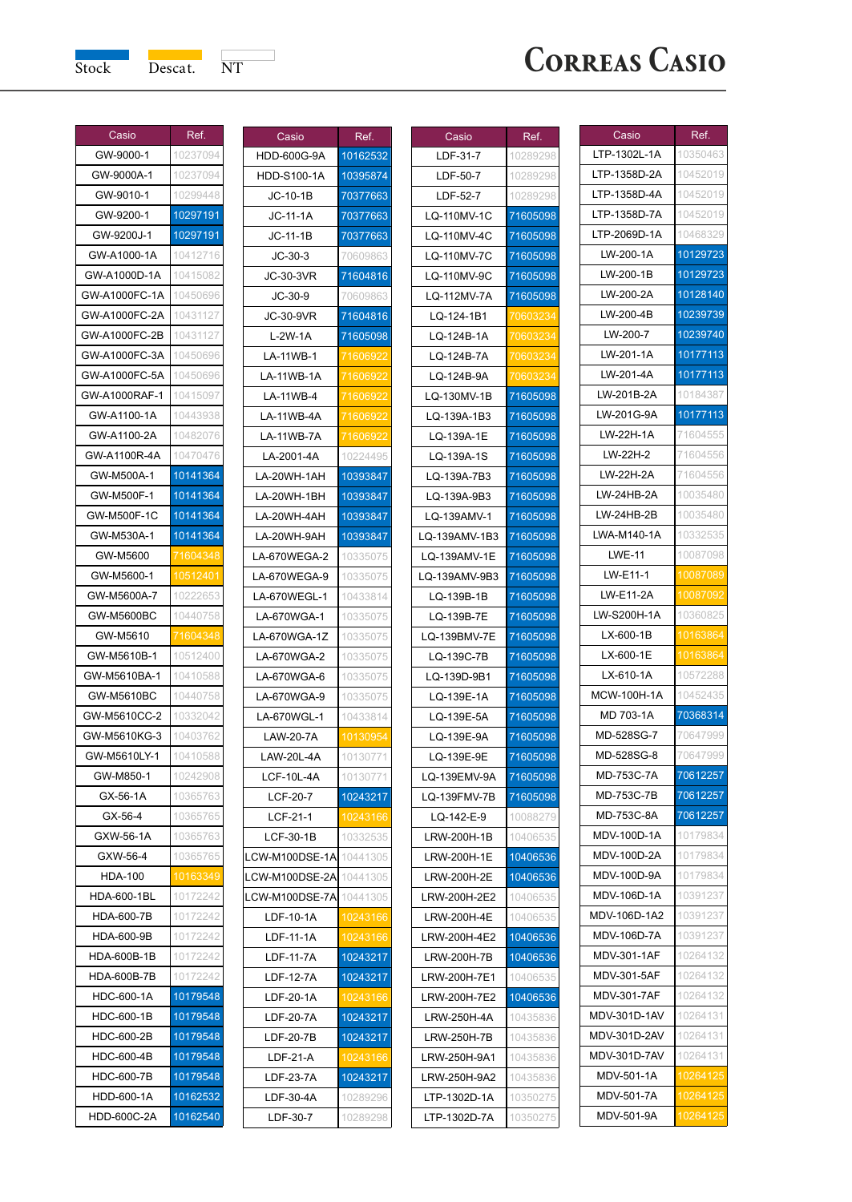

## **CORREAS CASIO**

| Casio              | Ref.     |
|--------------------|----------|
| GW-9000-1          | 10237094 |
| GW-9000A-1         | 10237094 |
| GW-9010-1          | 10299448 |
| GW-9200-1          | 10297191 |
| GW-9200J-1         | 10297191 |
| GW-A1000-1A        | 10412716 |
| GW-A1000D-1A       | 10415082 |
| GW-A1000FC-1A      | 10450696 |
| GW-A1000FC-2A      | 10431127 |
| GW-A1000FC-2B      | 10431127 |
| GW-A1000FC-3A      | 10450696 |
| GW-A1000FC-5A      | 10450696 |
| GW-A1000RAF-1      | 10415097 |
| GW-A1100-1A        | 10443938 |
| GW-A1100-2A        | 10482076 |
| GW-A1100R-4A       | 10470476 |
| GW-M500A-1         | 10141364 |
| GW-M500F-1         | 10141364 |
| GW-M500F-1C        | 10141364 |
| GW-M530A-1         | 10141364 |
| GW-M5600           | 71604348 |
| GW-M5600-1         | O,       |
| GW-M5600A-7        | 10222653 |
| GW-M5600BC         | 10440758 |
| GW-M5610           | 71604348 |
| GW-M5610B-1        | 10512400 |
| GW-M5610BA-1       | 10410588 |
| GW-M5610BC         | 10440758 |
| GW-M5610CC-2       | 10332042 |
| GW-M5610KG-3       | 10403762 |
| GW-M5610LY-1       | 10410588 |
| GW-M850-1          | 10242908 |
| GX-56-1A           | 10365763 |
| GX-56-4            | 10365765 |
| GXW-56-1A          | 10365763 |
| GXW-56-4           | 10365765 |
| HDA-100            | 10163349 |
| <b>HDA-600-1BL</b> | 10172242 |
| HDA-600-7B         | 101722   |
| HDA-600-9B         | 10172242 |
| HDA-600B-1B        | 10172242 |
| HDA-600B-7B        | 10172242 |
| HDC-600-1A         | 10179548 |
| HDC-600-1B         | 10179548 |
| HDC-600-2B         | 10179548 |
| HDC-600-4B         | 10179548 |
| HDC-600-7B         | 10179548 |
| HDD-600-1A         | 10162532 |
| HDD-600C-2A        | 10162540 |

| Casio              | Ref.                 |
|--------------------|----------------------|
| HDD-600G-9A        | 10162532             |
| <b>HDD-S100-1A</b> | 10395874             |
| JC-10-1B           | 70377663             |
| JC-11-1A           | 70377663             |
| $JC-11-1B$         | 70377663             |
| $JC-30-3$          | 70609863             |
| JC-30-3VR          | 71604816             |
| $JC-30-9$          | 70609863             |
| JC-30-9VR          | 71604816             |
| $L-2W-1A$          | 71605098             |
| LA-11WB-1          | 7160692              |
| <b>LA-11WB-1A</b>  | iOt                  |
| LA-11WB-4          | <u> 160692</u>       |
| LA-11WB-4A         | poc                  |
| <b>LA-11WB-7A</b>  | 16069:               |
| LA-2001-4A         | 10224495             |
| LA-20WH-1AH        | 10393847             |
| LA-20WH-1BH        | 10393847             |
| LA-20WH-4AH        | 10393847             |
| LA-20WH-9AH        | 10393847             |
| LA-670WEGA-2       | 10335075             |
| LA-670WEGA-9       | 10335075             |
| LA-670WEGL-1       | 10433814             |
| LA-670WGA-1        | 10335075             |
| LA-670WGA-1Z       | 10335075             |
| LA-670WGA-2        | 10335075             |
| LA-670WGA-6        | 10335075             |
| LA-670WGA-9        | 10335075             |
| LA-670WGL-1        | 10433814             |
| LAW-20-7A          |                      |
| LAW-20L-4A         | 10130954             |
|                    | 10130771<br>10130771 |
| LCF-10L-4A         |                      |
| <b>LCF-20-7</b>    | 10243217             |
| LCF-21-1           | 10243166             |
| LCF-30-1B          | 10332535             |
| LCW-M100DSE-1A     | 10441305             |
| LCW-M100DSE-2A     | 10441305             |
| LCW-M100DSE-7A     | 10441305             |
| LDF-10-1A          |                      |
| LDF-11-1A          | ï                    |
| LDF-11-7A          | 10243217             |
| LDF-12-7A          | 10243217             |
| LDF-20-1A          | 13166<br>1024        |
| <b>LDF-20-7A</b>   | 10243217             |
| LDF-20-7B          | 10243217             |
| $LDF-21-A$         | 10243166             |
| LDF-23-7A          | 10243217             |
| LDF-30-4A          | 10289296             |
| LDF-30-7           | 10289298             |

| Casio         | Ref.                 |
|---------------|----------------------|
| LDF-31-7      | 10289298             |
| LDF-50-7      | 10289298             |
| LDF-52-7      | 10289298             |
| LQ-110MV-1C   | 71605098             |
| LQ-110MV-4C   | 71605098             |
| LQ-110MV-7C   | 71605098             |
| LQ-110MV-9C   | 71605098             |
| LQ-112MV-7A   | 71605098             |
| LQ-124-1B1    | 06032                |
| LQ-124B-1A    | 70603234             |
| LQ-124B-7A    | 0600                 |
| LQ-124B-9A    | 70603234             |
| LQ-130MV-1B   | 71605098             |
| LQ-139A-1B3   | 71605098             |
| LQ-139A-1E    | 71605098             |
| LQ-139A-1S    | 71605098             |
| LQ-139A-7B3   | 71605098             |
| LQ-139A-9B3   | 71605098             |
| LQ-139AMV-1   | 71605098             |
| LQ-139AMV-1B3 | 71605098             |
| LQ-139AMV-1E  | 71605098             |
|               |                      |
| LQ-139AMV-9B3 | 71605098             |
| LQ-139B-1B    | 71605098<br>71605098 |
| LQ-139B-7E    |                      |
| LQ-139BMV-7E  | 71605098             |
| LQ-139C-7B    | 71605098             |
| LQ-139D-9B1   | 71605098             |
| LQ-139E-1A    | 71605098             |
| LQ-139E-5A    | 71605098             |
| LQ-139E-9A    | 71605098             |
| LQ-139E-9E    | 71605098             |
| LQ-139EMV-9A  | 71605098             |
| LQ-139FMV-7B  | 71605098             |
| LQ-142-E-9    | 10088279             |
| LRW-200H-1B   | 10406535             |
| LRW-200H-1E   | 10406536             |
| LRW-200H-2E   | 10406536             |
| LRW-200H-2E2  | 10406535             |
| LRW-200H-4E   | 10406535             |
| LRW-200H-4E2  | 10406536             |
| LRW-200H-7B   | 10406536             |
| LRW-200H-7E1  | 10406535             |
| LRW-200H-7E2  | 10406536             |
| LRW-250H-4A   | 10435836             |
| LRW-250H-7B   | 10435836             |
| LRW-250H-9A1  | 10435836             |
| LRW-250H-9A2  | 10435836             |
| LTP-1302D-1A  | 10350275             |
| LTP-1302D-7A  | 10350275             |

| Casio<br>LTP-1302L-1A | Ref.<br>10350463       |
|-----------------------|------------------------|
| TP-1358D-2A           | 10452019               |
| LTP-1358D-4A          |                        |
| LTP-1358D-7A          | 10452019               |
| LTP-2069D-1A          | 10452019<br>10468329   |
| LW-200-1A             |                        |
| LW-200-1B             | 10129723               |
| LW-200-2A             | 10129723<br>10128140   |
| LW-200-4B             | 10239739               |
|                       |                        |
| LW-200-7              | 10239740               |
| LW-201-1A             | 10177113               |
| LW-201-4A             | 10177113               |
| LW-201B-2A            | 10184387               |
| LW-201G-9A            | 10177113               |
| LW-22H-1A             | 1604555                |
| LW-22H-2              | 71604556               |
| LW-22H-2A             | 71604556               |
| LW-24HB-2A            | 10035480               |
| W-24HB-2B             | 10035480               |
| WA-M140-1A            | 10332535               |
| LWE-11                | 10087098               |
| LW-E11-1              | 10087089               |
| LW-E11-2A             | 1008709 <mark>:</mark> |
| LW-S200H-1A           | 10360825               |
| LX-600-1B             | <u>1016</u> 3864       |
| LX-600-1E             |                        |
| LX-610-1A             | 10572288               |
| MCW-100H-1A           | 10452435               |
| MD 703-1A             | 70368314               |
| MD-528SG-7            | 70647999               |
| MD-528SG-8            | 70647999               |
| MD-753C-7A            | 70612257               |
| MD-753C-7B            | 70612257               |
| MD-753C-8A            | 70612257               |
| MDV-100D-1A           | 10179834               |
| MDV-100D-2A           | 10179834               |
| MDV-100D-9A           | 10179834               |
| MDV-106D-1A           | 10391237               |
| MDV-106D-1A2          | 10391237               |
| <b>MDV-106D-7A</b>    | 10391237               |
| MDV-301-1AF           | 10264132               |
| MDV-301-5AF           | 10264132               |
| <b>MDV-301-7AF</b>    | 10264132               |
| MDV-301D-1AV          | 10264131               |
| MDV-301D-2AV          | 10264131               |
| MDV-301D-7AV          | 10264131               |
| MDV-501-1A            | 10264125               |
| MDV-501-7A            | 10264125               |
| MDV-501-9A            | 10264125               |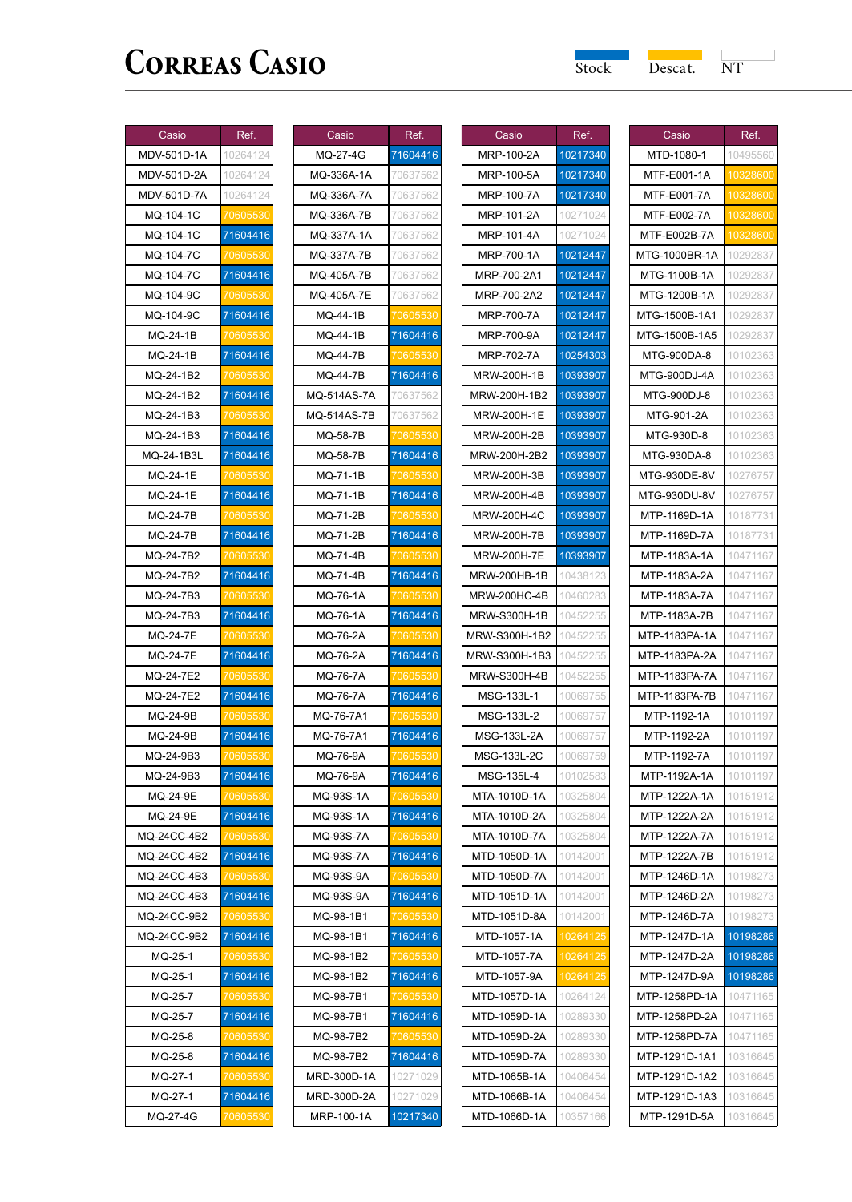$\overline{\phantom{a}}$ 

| Casio                      | Ref.     |
|----------------------------|----------|
| MDV-501D-1A                | 10264124 |
| MDV-501D-2A                | 10264124 |
| MDV-501D-7A                | 10264124 |
| MQ-104-1C                  | 70605530 |
| MQ-104-1C                  | 71604416 |
| MQ-104-7C                  | 70605    |
| MQ-104-7C                  | 71604416 |
| MQ-104-9C                  | 70605    |
| MQ-104-9C                  | 71604416 |
| MQ-24-1B                   | 706055   |
| MQ-24-1B                   | 71604416 |
| MQ-24-1B2                  |          |
| MQ-24-1B2                  | 71604416 |
| MQ-24-1B3                  | 70605    |
| MQ-24-1B3                  | 71604416 |
| MQ-24-1B3L                 | 71604416 |
| MQ-24-1E                   | าคด!     |
| MQ-24-1E                   | 71604416 |
| MQ-24-7B                   | 70605    |
| MQ-24-7B                   | 71604416 |
| MQ-24-7B2                  | 7060553  |
| MQ-24-7B2                  | 71604416 |
| MQ-24-7B3                  | 70605530 |
| MQ-24-7B3                  | 71604416 |
| MQ-24-7E                   | 70605530 |
| MQ-24-7E                   | 71604416 |
| MQ-24-7E2                  | 70605530 |
| MQ-24-7E2                  | 71604416 |
| MQ-24-9B                   | 060:     |
| MQ-24-9B                   | 71604416 |
| MQ-24-9B3                  |          |
|                            |          |
| MQ-24-9B3                  | 71604416 |
| MQ-24-9E                   | 71604416 |
| MQ-24-9E<br>MQ-24CC-4B2    |          |
|                            | 71604416 |
| MQ-24CC-4B2<br>MQ-24CC-4B3 |          |
|                            | '060!    |
| M<br>240<br>4R3            | 7160441  |
| MQ-24CC-9B2                | 70605530 |
| MQ-24CC-9B2                | 71604416 |
| MQ-25-1                    | 70605530 |
| MQ-25-1                    | 71604416 |
| MQ-25-7                    | 70605530 |
| MQ-25-7                    | 71604416 |
| MQ-25-8                    | 706055   |
| MQ-25-8                    | 71604416 |
| MQ-27-1                    | 70605    |
| MQ-27-1                    | 71604416 |
| MQ-27-4G                   | 70605530 |

| Casio             | Ref.         |
|-------------------|--------------|
| MQ-27-4G          | 71604416     |
| MQ-336A-1A        | 70637562     |
| MQ-336A-7A        | 70637562     |
| MQ-336A-7B        | 70637562     |
| MQ-337A-1A        | 70637562     |
| MQ-337A-7B        | 70637562     |
| MQ-405A-7B        | 70637562     |
| <b>MQ-405A-7E</b> | 70637562     |
| MQ-44-1B          | 70605530     |
| MQ-44-1B          | 71604416     |
| MQ-44-7B          | 70605530     |
| <b>MQ-44-7B</b>   | 71604416     |
| MQ-514AS-7A       | 70637562     |
| MQ-514AS-7B       | 70637562     |
| MQ-58-7B          | '060'        |
| MQ-58-7B          | 71604416     |
| MQ-71-1B          |              |
| MQ-71-1B          | 71604416     |
| MQ-71-2B          | 70605<br>530 |
| MQ-71-2B          | 71604416     |
| MQ-71-4B          | 70605530     |
| MQ-71-4B          | 71604416     |
| MQ-76-1A          | 70605530     |
| MQ-76-1A          | 71604416     |
| MQ-76-2A          | 70605530     |
| MQ-76-2A          | 71604416     |
| MQ-76-7A          | 70605530     |
| MQ-76-7A          | 71604416     |
| MQ-76-7A1         | 70605530     |
| MQ-76-7A1         | 71604416     |
| MQ-76-9A          | 70605530     |
| MQ-76-9A          | 71604416     |
| MQ-93S-1A         | 70605530     |
| MQ-93S-1A         | 71604416     |
| MQ-93S-7A         |              |
| MQ-93S-7A         | 71604416     |
| MQ-93S-9A         | '060'        |
| MQ-93S-9A         | 71604416     |
| MQ-98-1B1         |              |
| MQ-98-1B1         | 71604416     |
| MQ-98-1B2         | 70605530     |
| MQ-98-1B2         | 71604416     |
| MQ-98-7B1         | 70605530     |
| MQ-98-7B1         | 71604416     |
| MQ-98-7B2         |              |
| MQ-98-7B2         | 71604416     |
| MRD-300D-1A       | 10271029     |
| MRD-300D-2A       | 10271029     |
| MRP-100-1A        | 10217340     |

| Casio                     | Ref.     |
|---------------------------|----------|
| MRP-100-2A                | 10217340 |
| MRP-100-5A                | 10217340 |
| MRP-100-7A                | 10217340 |
| MRP-101-2A                | 10271024 |
| MRP-101-4A                | 10271024 |
| MRP-700-1A                | 10212447 |
| MRP-700-2A1               | 10212447 |
| MRP-700-2A2               | 10212447 |
| <b>MRP-700-7A</b>         | 10212447 |
| MRP-700-9A                | 10212447 |
| MRP-702-7A                | 10254303 |
| MRW-200H-1B               | 10393907 |
| MRW-200H-1B2              | 10393907 |
| MRW-200H-1E               | 10393907 |
| MRW-200H-2B               | 10393907 |
| MRW-200H-2B2              | 10393907 |
| MRW-200H-3B               | 10393907 |
| MRW-200H-4B               | 10393907 |
| MRW-200H-4C               | 10393907 |
| MRW-200H-7B               | 10393907 |
| MRW-200H-7E               | 10393907 |
| MRW-200HB-1B              | 10438123 |
| MRW-200HC-4B              | 10460283 |
| MRW-S300H-1B              | 10452255 |
| MRW-S300H-1B2             | 10452255 |
| MRW-S300H-1B3             | 10452255 |
| MRW-S300H-4B              | 104522   |
| MSG-133L-1                | 10069755 |
| MSG-133L-2                | 10069757 |
| MSG-133L-2A               | 10069757 |
| MSG-133L-2C               | 10069759 |
| MSG-135L-4                | 10102583 |
| MTA-1010D-1A              | 10325804 |
| MTA-1010D-2A              | 10325804 |
| MTA-1010D-7A              | 10325804 |
| MTD-1050D-1A              | 10142001 |
| MTD-1050D-7A              | 10142001 |
| MTD-1051D-1A              | 10142001 |
| 1TD-<br>1051D-<br>8Α<br>N | ?OO      |
| MTD-1057-1A               | 102641   |
| MTD-1057-7A               | 102641   |
| MTD-1057-9A               | 10264    |
| MTD-1057D-1A              | 10264124 |
| MTD-1059D-1A              | 10289330 |
| MTD-1059D-2A              | 10289330 |
| MTD-1059D-7A              | 10289330 |
| MTD-1065B-1A              | 10406454 |
| MTD-1066B-1A              | 10406454 |
| MTD-1066D-1A              | 10357166 |
|                           |          |

| Casio                  | Ref.        |
|------------------------|-------------|
| MTD-1080-1             | 10495560    |
| MTF-E001-1A            | 10328600    |
| MTF-E001·<br>۰7A       | 1032<br>860 |
| MTF-E002-7A            | 10328600    |
| MTF-E002B-7A           | 1032<br>600 |
| MTG-1000BR-1A          | 10292837    |
| MTG-1100B-1A           | 10292837    |
| MTG-1200B-1A           | 10292837    |
| MTG-1500B-1A1          | 10292837    |
| MTG-1500B-1A5          | 10292837    |
| MTG-900DA-8            | 10102363    |
| MTG-900DJ-4A           | 10102363    |
| MTG-900DJ-8            | 10102363    |
| MTG-901-2A             | 10102363    |
| MTG-930D-8             | 10102363    |
| MTG-930DA-8            | 10102363    |
| MTG-930DE-8V           | 10276757    |
| MTG-930DU-8V           | 10276757    |
| MTP-1169D-1A           | 10187731    |
| MTP-1169D-7A           | 10187731    |
| MTP-1183A-1A           | 10471167    |
| MTP-1183A-2A           | 10471167    |
| MTP-1183A-7A           | 10471167    |
| MTP-1183A-7B           | 10471167    |
| MTP-1183PA-1A          | 10471167    |
| MTP-1183PA-2A          | 10471167    |
| MTP-1183PA-7A          | 10471167    |
| MTP-1183PA-7B          | 10471167    |
| MTP-1192-1A            | 10101197    |
| MTP-1192-2A            | 10101197    |
| MTP-1192-7A            | 10101197    |
| MTP-1192A-1A           | 10101197    |
| MTP-1222A-1A           | 10151912    |
| MTP-1222A-2A           | 10151912    |
| MTP-1222A-7A           | 10151912    |
| MTP-1222A-7B           | 10151912    |
| MTP-1246D-1A           | 10198273    |
| MTP-1246D-2A           | 10198273    |
| MTI<br>1:<br>16D<br>71 |             |
| MTP-1247D-1A           | 10198286    |
| MTP-1247D-2A           | 10198286    |
| MTP-1247D-9A           | 10198286    |
| MTP-1258PD-1A          | 10471165    |
| MTP-1258PD-2A          | 10471165    |
| MTP-1258PD-7A          | 10471165    |
| MTP-1291D-1A1          | 10316645    |
| MTP-1291D-1A2          | 10316645    |
| MTP-1291D-1A3          | 10316645    |
| MTP-1291D-5A           | 10316645    |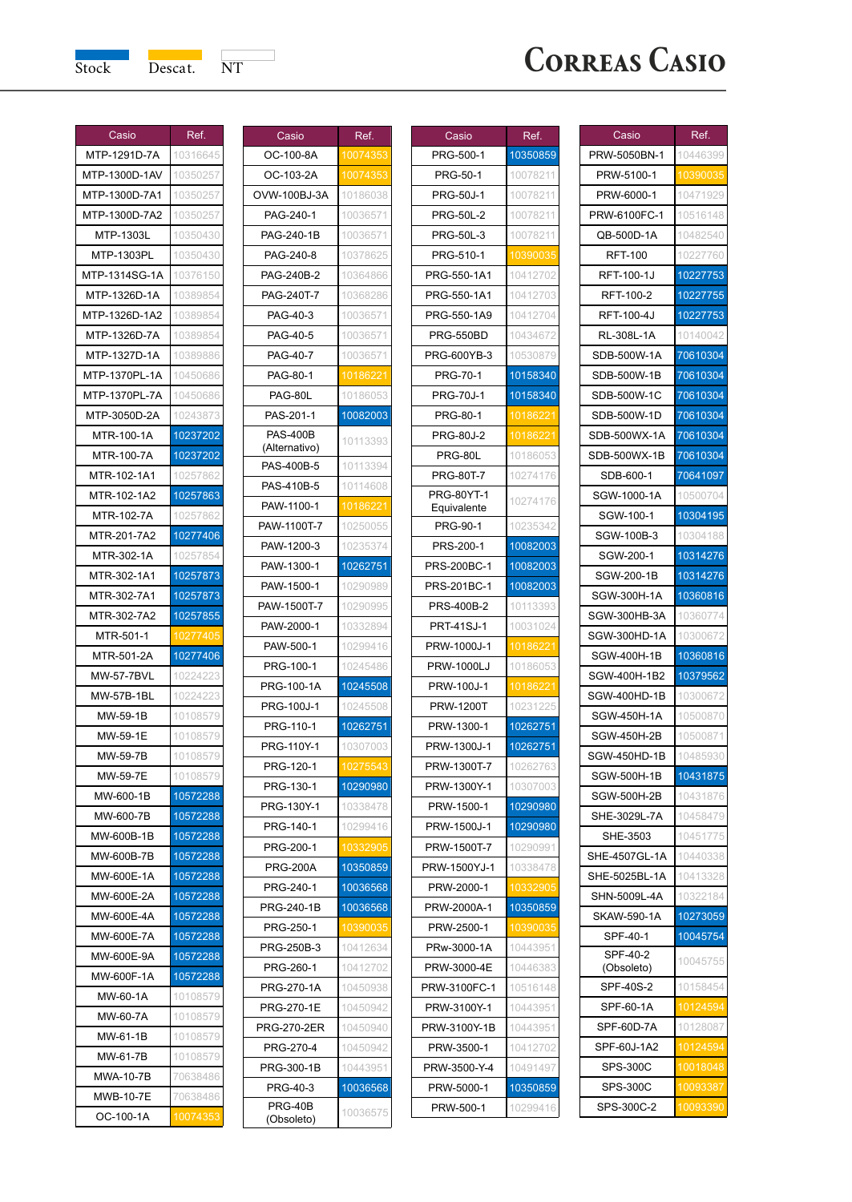

| Casio                           | Ref.                 |
|---------------------------------|----------------------|
| MTP-1291D-7A                    | 10316645             |
| MTP-1300D-1AV                   | 10350257             |
| MTP-1300D-7A1                   | 1035025              |
| MTP-1300D-7A2                   | 10350257             |
| MTP-1303L                       | 10350430             |
| MTP-1303PL                      | 10350430             |
| MTP-1314SG-1A                   | 10376150             |
| MTP-1326D-1A                    | 10389854             |
| MTP-1326D-1A2                   | 10389854             |
| MTP-1326D-7A                    | 10389854             |
| MTP-1327D-1A                    | 10389886             |
| MTP-1370PL-1A                   | 10450686             |
| MTP-1370PL-7A                   | 10450686             |
| MTP-3050D-2A                    | 10243873             |
| MTR-100-1A                      | 10237202             |
| MTR-100-7A                      | 10237202             |
| MTR-102-1A1                     | 10257862             |
| MTR-102-1A2                     | 10257863             |
| MTR-102-7A                      | 10257862             |
| MTR-201-7A2                     | 10277406             |
| MTR-302-1A                      | 10257854             |
| MTR-302-1A1                     | 10257873             |
| MTR-302-7A1                     | 10257873             |
|                                 | 10257855             |
| MTR-302-7A2<br>MTR-501-1        |                      |
|                                 |                      |
| MTR-501-2A<br><b>MW-57-7BVL</b> | 10277406<br>10224223 |
|                                 |                      |
| MW-57B-1BL                      | 10224223             |
| MW-59-1B<br>MW-59-1E            | 10108579<br>10108579 |
|                                 |                      |
| MW-59-7B                        | 1010857              |
| MW-59-7E                        | 1010857              |
| MW-600-1B                       | 10572288             |
| MW-600-7B                       | 10572288             |
| MW-600B-1B                      | 10572288             |
| MW-600B-7B                      | 10572288             |
| MW-600E-1A                      | 10572288             |
| MW-600E-2A                      | 10572288             |
| MW-600E<br>4Α                   | 1057.                |
| MW-600E-7A                      | 10572288             |
| MW-600E-9A                      | 10572288             |
| MW-600F-1A                      | 10572288             |
| MW-60-1A                        | 10108579             |
| MW-60-7A                        | 10108579             |
| MW-61-1B                        | 10108579             |
| MW-61-7B                        | 10108579             |
| MWA-10-7B                       | 70638486             |
| MWB-10-7E                       | 70638486             |
| OC-100-1A                       | 10074353             |

| Casio                       | Ref.          |
|-----------------------------|---------------|
| OC-100-8A                   | 10074<br>-353 |
| OC-103-2A                   | 10074         |
| OVW-100BJ-3A                | 10186038      |
| PAG-240-1                   | 10036571      |
| PAG-240-1B                  | 10036571      |
| PAG-240-8                   | 10378625      |
| PAG-240B-2                  | 10364866      |
| PAG-240T-7                  | 10368286      |
| PAG-40-3                    | 10036571      |
| PAG-40-5                    | 10036571      |
| PAG-40-7                    | 10036571      |
| PAG-80-1                    | 1018622       |
| PAG-80L                     | 10186053      |
| PAS-201-1                   | 10082003      |
| <b>PAS-400B</b>             | 10113393      |
| (Alternativo)<br>PAS-400B-5 | 10113394      |
| PAS-410B-5                  | 10114608      |
| PAW-1100-1                  | 10186221      |
| PAW-1100T-7                 | 10250055      |
| PAW-1200-3                  | 10235374      |
| PAW-1300-1                  | 10262751      |
| PAW-1500-1                  | 10290989      |
| PAW-1500T-7                 | 10290995      |
| PAW-2000-1                  | 10332894      |
| PAW-500-1                   | 10299416      |
| PRG-100-1                   | 10245486      |
| PRG-100-1A                  | 10245508      |
| PRG-100J-1                  | 10245508      |
| PRG-110-1                   | 10262751      |
| PRG-110Y-1                  | 10307003      |
| PRG-120-1                   | 10275543      |
| PRG-130-1                   | 10290980      |
| PRG-130Y-1                  | 10338478      |
| PRG-140-1                   | 10299416      |
| PRG-200-1                   | 10332905      |
| <b>PRG-200A</b>             | 10350859      |
| PRG-240-1                   | 10036568      |
| PRG-240-1B                  | 10036568      |
| PRG-250-1                   | 10390035      |
| PRG-250B-3                  | 10412634      |
| PRG-260-1                   | 10412702      |
| PRG-270-1A                  | 10450938      |
| PRG-270-1E                  | 10450942      |
| <b>PRG-270-2ER</b>          | 10450940      |
| PRG-270-4                   | 10450942      |
| PRG-300-1B                  | 10443951      |
| PRG-40-3                    | 10036568      |
| PRG-40B<br>(Obsoleto)       | 10036575      |

| Casio             | Ref.     |
|-------------------|----------|
| PRG-500-1         | 10350859 |
| PRG-50-1          | 10078211 |
| <b>PRG-50J-1</b>  | 10078211 |
| PRG-50L-2         | 10078211 |
| PRG-50L-3         | 10078211 |
| PRG-510-1         | 10390035 |
| PRG-550-1A1       | 10412702 |
| PRG-550-1A1       | 10412703 |
| PRG-550-1A9       | 10412704 |
| PRG-550BD         | 10434672 |
| PRG-600YB-3       | 10530879 |
| PRG-70-1          | 10158340 |
| <b>PRG-70J-1</b>  | 10158340 |
| PRG-80-1          | 10186221 |
| <b>PRG-80J-2</b>  | 10186    |
| PRG-80L           | 10186053 |
| PRG-80T-7         | 10274176 |
| <b>PRG-80YT-1</b> |          |
| Equivalente       | 10274176 |
| PRG-90-1          | 10235342 |
| PRS-200-1         | 10082003 |
| PRS-200BC-1       | 10082003 |
| PRS-201BC-1       | 10082003 |
| PRS-400B-2        | 10113393 |
| <b>PRT-41SJ-1</b> | 10031024 |
| PRW-1000J-1       | 10186221 |
| <b>PRW-1000LJ</b> | 10186053 |
| PRW-100J-1        | 10186221 |
| <b>PRW-1200T</b>  | 10231225 |
| PRW-1300-1        | 10262751 |
| PRW-1300J-1       | 10262751 |
| PRW-1300T-<br>٠7  | 10262763 |
| PRW-1300Y-1       | 10307003 |
| PRW-1500-1        | 10290980 |
| PRW-1500J-1       | 10290980 |
| PRW-1500T-7       | 10290991 |
| PRW-1500YJ-1      | 10338478 |
| PRW-2000-1        | 10332905 |
| PRW-2000A-1       | 10350859 |
| PRW-2500-1        | 10390035 |
| PRw-3000-1A       | 10443951 |
| PRW-3000-4E       | 10446383 |
| PRW-3100FC-1      | 10516148 |
| PRW-3100Y-1       | 10443951 |
| PRW-3100Y-1B      | 10443951 |
| PRW-3500-1        | 10412702 |
| PRW-3500-Y-4      | 10491497 |
| PRW-5000-1        | 10350859 |
| PRW-500-1         | 10299416 |

| Casio                  | Ref.     |
|------------------------|----------|
| PRW-5050BN-1           | 10446399 |
| PRW-5100-1             | 10390035 |
| PRW-6000-1             | 10471929 |
| PRW-6100FC-1           | 10516148 |
| QB-500D-1A             | 10482540 |
| <b>RFT-100</b>         | 10227760 |
| RFT-100-1J             | 10227753 |
| RFT-100-2              | 10227755 |
| RFT-100-4J             | 10227753 |
| RL-308L-1A             | 10140042 |
| SDB-500W-1A            | 70610304 |
| SDB-500W-1B            | 70610304 |
| SDB-500W-1C            | 70610304 |
| SDB-500W-1D            | 70610304 |
| SDB-500WX-1A           | 70610304 |
| SDB-500WX-1B           | 70610304 |
| SDB-600-1              | 70641097 |
| SGW-1000-1A            | 10500704 |
| SGW-100-1              | 10304195 |
| SGW-100B-3             | 10304188 |
| SGW-200-1              | 10314276 |
| SGW-200-1B             | 10314276 |
| SGW-300H-1A            | 10360816 |
| SGW-300HB-3A           | 10360774 |
| SGW-300HD-1A           | 10300672 |
| SGW-400H-1B            | 10360816 |
| SGW-400H-1B2           | 10379562 |
| SGW-400HD-1B           | 10300672 |
| SGW-450H-1A            | 10500870 |
| SGW-450H-2B            | 10500871 |
| SGW-450HD-1B           | 10485930 |
| SGW-500H-1B            | 10431875 |
| SGW-500H-2B            | 10431876 |
| SHE-3029L-7A           | 10458479 |
| SHE-3503               | 10451775 |
| SHE-4507GL-1A          | 10440338 |
| SHE-5025BL-1A          | 10413328 |
| SHN-5009L-4A           | 10322184 |
| <b>SKAW-590-</b><br>1A | 1027305  |
| SPF-40-1               | 10045754 |
| SPF-40-2               | 10045755 |
| (Obsoleto)             |          |
| SPF-40S-2              | 10158454 |
| SPF-60-1A              | 10124594 |
| SPF-60D-7A             | 10128087 |
| SPF-60J-1A2            | 1012459  |
| SPS-300C               | 100180   |
| SPS-300C               | 1009     |
| SPS-300C-2             | 10093390 |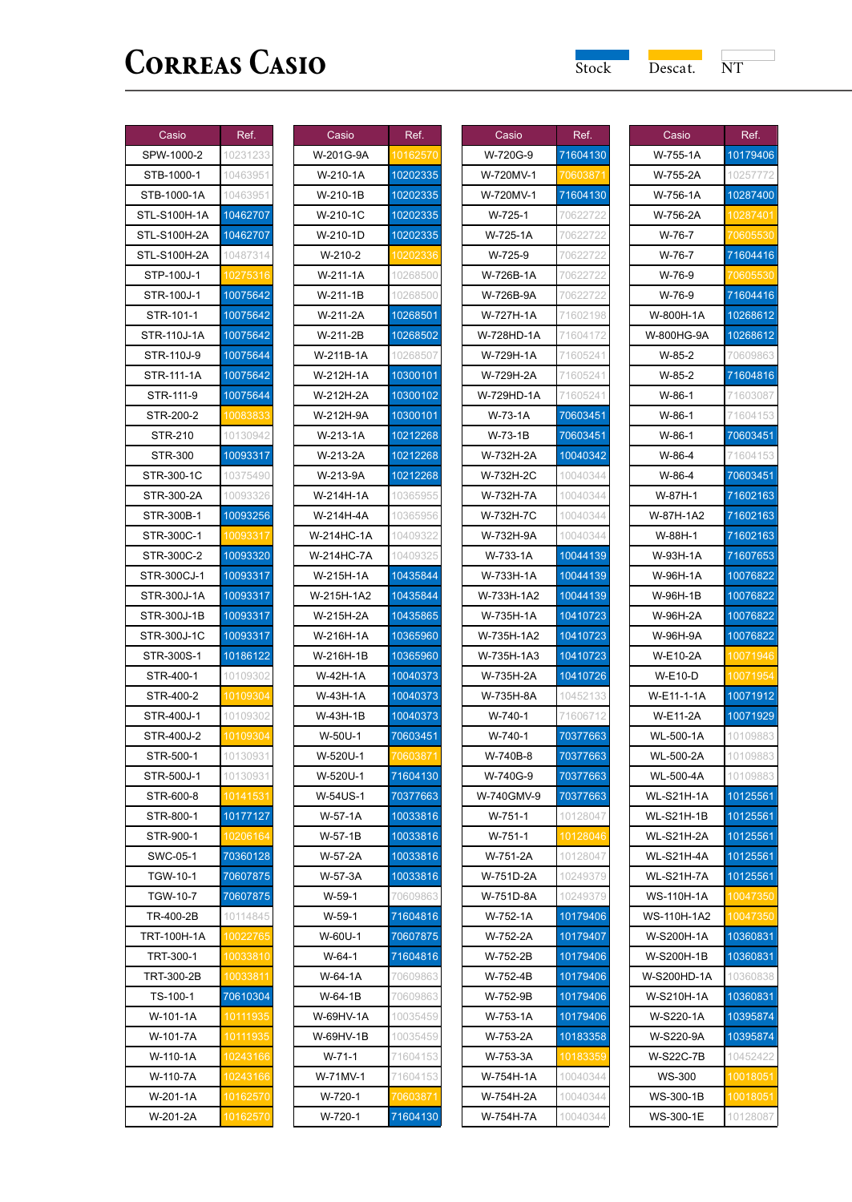| Casio              | Ref.                 |
|--------------------|----------------------|
| SPW-1000-2         | 10231233             |
| STB-1000-1         | 10463951             |
| STB-1000-1A        | 10463951             |
| STL-S100H-1A       | 10462707             |
| STL-S100H-2A       | 10462707             |
| STL-S100H-2A       | 10487314             |
| STP-100J-1         | 1027<br>5316         |
| STR-100J-1         | 10075642             |
| STR-101-1          | 10075642             |
| STR-110J-1A        | 10075642             |
| STR-110J-9         | 10075644             |
| STR-111-1A         | 10075642             |
| STR-111-9          | 10075644             |
| STR-200-2          | 10083833             |
| STR-210            | 10130942             |
| STR-300            | 10093317             |
| STR-300-1C         | 10375490             |
| STR-300-2A         | 10093326             |
| STR-300B-1         | 10093256             |
| STR-300C-1         | 1009                 |
|                    |                      |
| STR-300C-2         | 10093320             |
| STR-300CJ-1        | 10093317<br>10093317 |
| STR-300J-1A        |                      |
| STR-300J-1B        | 10093317             |
| STR-300J-1C        | 10093317             |
| STR-300S-1         | 10186122             |
| STR-400-1          | 10109302             |
| STR-400-2          | 10109304             |
| STR-400J-1         | 10109302             |
| STR-400J-2         | 10109304             |
| STR-500-1          | 10130931             |
| STR-500J-1         | 10130931             |
| STR-600-8          | 10141531             |
| STR-800-1          | 10177127             |
| STR-900-1          | 10206164             |
| SWC-05-1           | 70360128             |
| TGW-10-1           | 70607875             |
| <b>TGW-10-7</b>    | 70607875             |
| TR-400-2B          | 10114845             |
| <b>TRT-100H-1A</b> | 10022765             |
| TRT-300-1          | 10033810             |
| TRT-300-2B         | 10033811             |
| TS-100-1           | 70610304             |
| W-101-1A           | 10111935             |
| W-101-7A           | 10111935             |
| W-110-1A           | 10243166             |
| W-110-7A           | 10243166<br>10162570 |
| W-201-1A           |                      |
| W-201-2A           | 10162570             |

| Casio      | Ref.     |
|------------|----------|
| W-201G-9A  | 10162570 |
| W-210-1A   | 10202335 |
| W-210-1B   | 10202335 |
| W-210-1C   | 10202335 |
| W-210-1D   | 10202335 |
| W-210-2    |          |
| W-211-1A   | 10268500 |
| W-211-1B   | 10268500 |
| W-211-2A   | 10268501 |
| W-211-2B   | 10268502 |
| W-211B-1A  | 10268507 |
| W-212H-1A  | 10300101 |
| W-212H-2A  | 10300102 |
| W-212H-9A  | 10300101 |
| W-213-1A   | 10212268 |
| W-213-2A   | 10212268 |
| W-213-9A   | 10212268 |
| W-214H-1A  | 10365955 |
| W-214H-4A  | 10365956 |
| W-214HC-1A | 10409322 |
| W-214HC-7A | 10409325 |
| W-215H-1A  | 10435844 |
| W-215H-1A2 | 10435844 |
| W-215H-2A  | 10435865 |
| W-216H-1A  | 10365960 |
| W-216H-1B  | 10365960 |
| W-42H-1A   | 10040373 |
| W-43H-1A   | 10040373 |
| W-43H-1B   | 10040373 |
| W-50U-1    | 70603451 |
| W-520U-1   | 060      |
| W-520U-1   | 71604130 |
| W-54US-1   | 70377663 |
| W-57-1A    | 10033816 |
| W-57-1B    | 10033816 |
| W-57-2A    | 10033816 |
| W-57-3A    | 10033816 |
| $W-59-1$   | 70609863 |
| $W-59-1$   | 71604816 |
| W-60U-1    | 70607875 |
| $W-64-1$   | 71604816 |
| W-64-1A    | 70609863 |
| W-64-1B    | 70609863 |
| W-69HV-1A  | 10035459 |
| W-69HV-1B  | 10035459 |
| $W-71-1$   | 71604153 |
| W-71MV-1   | 71604153 |
| W-720-1    | 70603871 |
| W-720-1    | 71604130 |

| Casio      | Ref.     |
|------------|----------|
| W-720G-9   | 71604130 |
| W-720MV-1  | 70603871 |
| W-720MV-1  | 71604130 |
| W-725-1    | 70622722 |
| W-725-1A   | 70622722 |
| W-725-9    | 70622722 |
| W-726B-1A  | 70622722 |
| W-726B-9A  | 70622722 |
| W-727H-1A  | 71602198 |
| W-728HD-1A | 71604172 |
| W-729H-1A  | 71605241 |
| W-729H-2A  | 71605241 |
| W-729HD-1A | 71605241 |
| W-73-1A    | 70603451 |
| W-73-1B    | 70603451 |
| W-732H-2A  | 10040342 |
| W-732H-2C  | 10040344 |
| W-732H-7A  | 10040344 |
| W-732H-7C  | 10040344 |
| W-732H-9A  | 10040344 |
| W-733-1A   | 10044139 |
| W-733H-1A  | 10044139 |
| W-733H-1A2 | 10044139 |
| W-735H-1A  | 10410723 |
| W-735H-1A2 | 10410723 |
| W-735H-1A3 | 10410723 |
| W-735H-2A  | 10410726 |
| W-735H-8A  | 10452133 |
| W-740-1    | 71606712 |
| W-740-1    | 70377663 |
| W-740B-8   | 70377663 |
| W-740G-9   | 70377663 |
| W-740GMV-9 | 70377663 |
| W-751-1    | 10128047 |
| $W-751-1$  | 10128046 |
| W-751-2A   | 10128047 |
| W-751D-2A  | 10249379 |
| W-751D-8A  | 10249379 |
| W-752-1A   | 10179406 |
| W-752-2A   | 10179407 |
| W-752-2B   | 10179406 |
| W-752-4B   | 10179406 |
| W-752-9B   | 10179406 |
| W-753-1A   | 10179406 |
| W-753-2A   | 10183358 |
| W-753-3A   | 1018     |
| W-754H-1A  | 10040344 |
| W-754H-2A  | 10040344 |
| W-754H-7A  | 10040344 |

| Casio                                            | Ref.                 |
|--------------------------------------------------|----------------------|
| W-755-1A                                         | 10179406             |
| W-755-2A                                         | 10257772             |
| W-756-1A                                         | 10287400             |
| W-756-2A                                         | 10287401             |
| W-76-7                                           | 70605                |
| W-76-7                                           | 71604416             |
| W-76-9                                           | 70605530             |
| W-76-9                                           | 71604416             |
| W-800H-1A                                        | 10268612             |
| W-800HG-9A                                       | 10268612             |
| $W-85-2$                                         | 70609863             |
| $W-85-2$                                         | 71604816             |
| W-86-1                                           | 71603087             |
| W-86-1                                           | 71604153             |
| W-86-1                                           | 70603451             |
| W-86-4                                           | 71604153             |
| W-86-4                                           | 70603451             |
| W-87H-1                                          | 71602163             |
| W-87H-1A2                                        | 71602163             |
| W-88H-1                                          | 71602163             |
| W-93H-1A                                         | 71607653             |
| W-96H-1A                                         | 10076822             |
| W-96H-1B                                         | 10076822             |
| W-96H-2A                                         | 10076822             |
| W-96H-9A                                         | 10076822             |
| W-E10-2A                                         | 10071946             |
| W-E10-D                                          | 10071954             |
| W-E11-1-1A                                       | 10071912             |
| W-E11-2A                                         | 10071929             |
| <b>WL-500-1A</b>                                 | 10109883             |
| WL-500-2A                                        | 10109883             |
| <b>WL-500-4A</b>                                 | 10109883             |
| <b>WL-S21H-1A</b>                                | 10125561             |
| <b>WL-S21H-1B</b>                                | 10125561             |
| <b>WL-S21H-2A</b>                                | 10125561             |
| <b>WL-S21H-4A</b>                                | 10125561<br>10125561 |
| <b>WL-S21H-7A</b>                                |                      |
| <b>WS-110H-1A</b><br>ΝS<br>110H<br>$\frac{1}{2}$ | 1004                 |
| W-S200H-1A                                       | 10360831             |
| W-S200H-1B                                       |                      |
| W-S200HD-1A                                      | 10360831<br>10360838 |
| W-S210H-1A                                       | 10360831             |
| W-S220-1A                                        | 10395874             |
| W-S220-9A                                        |                      |
| W-S22C-7B                                        | 10395874<br>10452422 |
| <b>WS-300</b>                                    |                      |
| WS-300-1B                                        | 10018051             |
|                                                  | 10018051<br>10128087 |
| WS-300-1E                                        |                      |